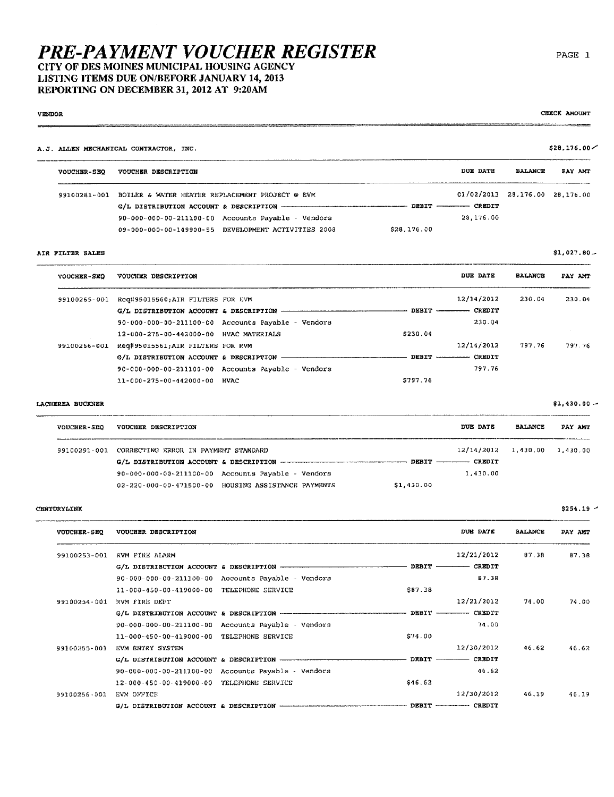CITY OF DES MOINES MUNICIPAL HOUSING AGENCY LISTING ITEMS DUE ON/BEFORE JANUARY 14, 2013 REPORTING ON DECEMBER 31, 2012 AT 9:20AM

## **VENDOR**

A.J. ALLEN MECHANICAL CONTRACTOR, INC.

| <b>VOUCHER-SEO</b> | VOUCHER DESCRIPTION                                  |                          | DUE DATE                       | <b>BALANCE</b> | PAY AMT |
|--------------------|------------------------------------------------------|--------------------------|--------------------------------|----------------|---------|
| 99100281-001       | BOILER & WATER HEATER REPLACEMENT PROJECT @ EVM      |                          | 01/02/2013 28.176.00 28.176.00 |                |         |
|                    |                                                      | DEBIT ----------- CREDIT |                                |                |         |
|                    | $90-000-000-00-211100-00$ Accounts Payable - Vendors |                          | 28.176.00                      |                |         |
|                    | 09-000-000-00-149900-55 DEVELOPMENT ACTIVITIES 2008  | \$28,176.00              |                                |                |         |

## AIR FILTER SALES

 $$1,027.80...$ 

| <b>VOUCHER-SEO</b> | VOUCHER DESCRIPTION                    |                                                      |          | <b>DUE DATE</b> | <b>BALANCE</b> | PAY AMT |
|--------------------|----------------------------------------|------------------------------------------------------|----------|-----------------|----------------|---------|
| 99100265-001       | Req#95015560;AIR FILTERS FOR EVM       |                                                      |          | 12/14/2012      | 230.04         | 230.04  |
|                    |                                        |                                                      |          | CREDIT          |                |         |
|                    |                                        | 90-000-000-00-211100-00 Accounts Payable - Vendors   |          | 230.04          |                |         |
|                    | 12-000-275-00-442000-00 HVAC MATERIALS |                                                      | \$230.04 |                 |                |         |
| 99100266-001       | Req#95015561;AIR FILTERS FOR RVM       |                                                      |          | 12/14/2012      | 797.76         | 797.76  |
|                    | G/L DISTRIBUTION ACCOUNT & DESCRIPTION |                                                      | DEBIT    | CREDIT          |                |         |
|                    |                                        | $90-000-000-00-211100-00$ Accounts Payable - Vendors |          | 797.76          |                |         |
|                    | 11-000-275-00-442000-00                | <b>HVAC</b>                                          | 5797.76  |                 |                |         |

### LACHEREA BUCKNER

 $\cdots$ 

| <b>VOUCHER-SEO</b> | VOUCHER DESCRIPTION                                            | DUE DATE                     | <b>BALANCE</b> | PAY ANT |
|--------------------|----------------------------------------------------------------|------------------------------|----------------|---------|
|                    | 99100291-001 CORRECTING ERROR IN PAYMENT STANDARD              | 12/14/2012 1.430.00 1.430.00 |                |         |
|                    |                                                                |                              |                |         |
|                    | $90 - 000 - 000 - 00 - 211100 - 00$ Accounts Pavable - Vendors | 1.430.00                     |                |         |
|                    | 02-220-000-00-471500-00 HOUSING ASSISTANCE PAYMENTS            | \$1,430.00                   |                |         |

## CENTURYLINK

| <b>VOUCHER-SEQ</b> | VOUCHER DESCRIPTION                       |                                                                |         | DUE DATE                  | <b>BALANCE</b> | PAY AMT |
|--------------------|-------------------------------------------|----------------------------------------------------------------|---------|---------------------------|----------------|---------|
| 99100253-001       | RVM FIRE ALARM                            |                                                                |         | 12/21/2012                | 87.38          | 87.38   |
|                    |                                           |                                                                |         |                           |                |         |
|                    |                                           | 90-000-000-00-211100-00 Accounts Payable - Vendors             |         | 87.38                     |                |         |
|                    | 11-000-450-00-419000-00 TELEPHONE SERVICE |                                                                | \$87.38 |                           |                |         |
| 99100254-001       | RVM FIRE DEPT                             |                                                                |         | 12/21/2012                | 74.00          | 74.00   |
|                    |                                           |                                                                |         |                           |                |         |
|                    |                                           | $90 - 000 - 000 - 00 - 211100 - 00$ Accounts Payable - Vendors |         | 74.00                     |                |         |
|                    | 11-000-450-00-419000-00 TELEPHONE SERVICE |                                                                | \$74.00 |                           |                |         |
| 99100255-001       | EVM ENTRY SYSTEM                          |                                                                |         | 12/30/2012                | 46.62          | 46.62   |
|                    |                                           |                                                                |         | DEBIT ------------ CREDIT |                |         |
|                    |                                           | 90-000-000-00-211100-00 Accounts Payable - Vendors             |         | 46.62                     |                |         |
|                    | 12-000-450-00-419000-00 TELEPHONE SERVICE |                                                                | \$46.62 |                           |                |         |
| 99100256-001       | EVM OFFICE                                |                                                                |         | 12/30/2012                | 46,19          | 46.19   |
|                    |                                           |                                                                |         |                           |                |         |

CHECK AMOUNT

 $$28,176.00 \times$ 

 $$1,430.00 -$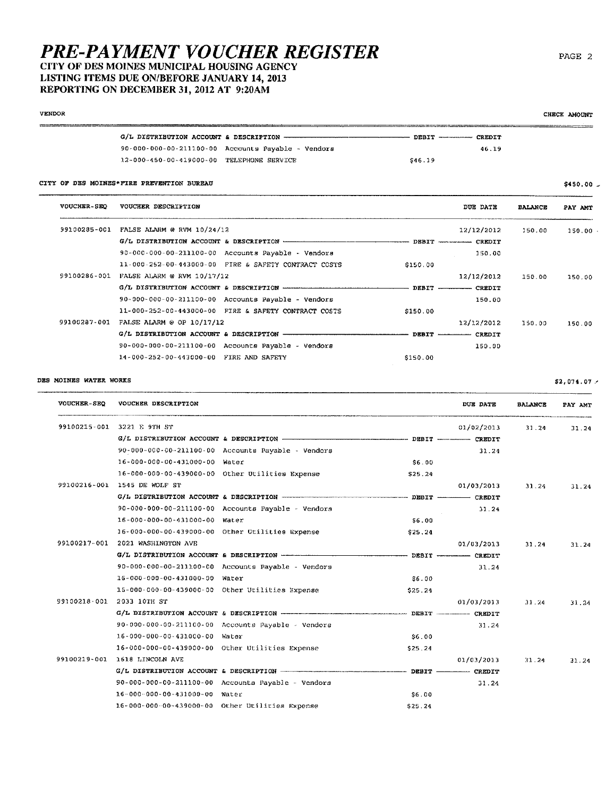## **PRE-PAYMENT VOUCHER REGISTER** CITY OF DES MOINES MUNICIPAL HOUSING AGENCY LISTING ITEMS DUE ON/BEFORE JANUARY 14, 2013

# REPORTING ON DECEMBER 31, 2012 AT 9:20AM

|                                                    | DEBIT ----------- CREDIT |  |
|----------------------------------------------------|--------------------------|--|
| 90-000-000-00-211100-00 Accounts Payable - Vendors | 46.19                    |  |
| 12-000-450-00-419000-00 TELEPHONE SERVECE          | \$46.19                  |  |

| <b>VOUCHER-SEO</b> | VOUCHER DESCRIPTION                                  |          | DDE DATE                   | <b>BALANCE</b> | PAY AMT |
|--------------------|------------------------------------------------------|----------|----------------------------|----------------|---------|
| 99100285-001       | FALSE ALARM @ RVM $10/24/12$                         |          | 12/12/2012                 | 150.00         | 150.00  |
|                    |                                                      |          | DEBIT ------------- CREDIT |                |         |
|                    | 90-000-000-00-211100-00 Accounts Payable - Vendors   |          | 150.00                     |                |         |
|                    | 11-000-252-00-443000-00 FIRE & SAFETY CONTRACT COSTS | \$150.00 |                            |                |         |
| 99100286-001       | FALSE ALARM @ RVM $10/17/12$                         |          | 12/12/2012                 | 150.00         | 150.00  |
|                    |                                                      |          | DEBIT CREDIT               |                |         |
|                    | 90-000-000-00-211100-00 Accounts Payable - Vendors   |          | 150.00                     |                |         |
|                    | 11-000-252-00-443000-00 FIRE & SAFETY CONTRACT COSTS | \$150.00 |                            |                |         |
| 99100287-001       | FALSE ALARM @ OP $10/17/12$                          |          | 12/12/2012                 | 150.00         | 150.00  |
|                    | G/L DISTRIBUTION ACCOUNT & DESCRIPTION ------------- | DEBIT -  | CREDIT                     |                |         |
|                    | 90-000-000-00-211100-00 Accounts Payable - Vendors   |          | 150.00                     |                |         |
|                    | 14-000-252-00-443000-00 FIRE AND SAFETY              | \$150.00 |                            |                |         |

## DES MOINES WATER WORKS

VOUCHER-SEQ VOUCHER DESCRIPTION DUE DATE **BALANCE** PAY AMT 99100215-001 3221 E 9TH ST 01/02/2013  $31.24$  $31.24$ G/L DISTRIBUTION ACCOUNT & DESCRIPTION - $-$  DEBIT  $CRBDIT$ 90-000-000-00-211100-00 Accounts Payable - Vendors  $31.24$ 16-000-000-00-431000-00 Water  $$6.00$ 16-000-000-00-439000-00 Other Utilities Expense \$25.24 99100216-001 1545 DE WOLF ST 01/03/2013 31.24  $31.24$ G/L DISTRIBUTION ACCOUNT & DESCRIPTION ----- $-$  CREDIT - DEBIT -90-000-000-00-211100-00 Accounts Payable - Vendors  $31.24$ 16-000-000-00-431000-00 Water \$6.00 16-000-000-00-439000-00 Other Utilities Expense  $$25.24$ 99100217-001 2021 WASHINGTON AVE 01/03/2013 31.24  $31.24$ G/L DISTRIBUTION ACCOUNT & DESCRIPTION ------ $-$  DEBIT  $-$ -- CREDIT 90-000-000-00-211100-00 Accounts Payable - Vendors 31.24 16-000-000-00-431000-00 Water  $$6.00$ 15-000-000-00-439000-00 Other Utilities Expense \$25.24 99100218-001 2033 10TH ST  $01/03/2013$  $31.24$ 31.24 G/L DISTRIBUTION ACCOUNT & DESCRIPTION ---------------------------------------- DEBIT - $CREDIT$ 90-000-000-00-211100-00 Accounts Payable - Vendors 31.24 16-000-000-00-431000-00 Water \$6.00 16-000-000-00-439000-00 Other Utilities Expense \$25.24 99100219-001 1618 LINCOLN AVE 01/03/2013  $31.24$ 31.24  $G/L$  DISTRIBUTION ACCOUNT & DESCRIPTION  $-$  DEBIT.  $-$  CREDIT 90-000-000-00-211100-00 Accounts Payable - Vendors 31.24 16-000-000-00-431000-00 Water  $$6.00$ 16-000-000-00-439000-00 Other Utilities Expense \$25.24

PAGE 2

 $$2,074.07.$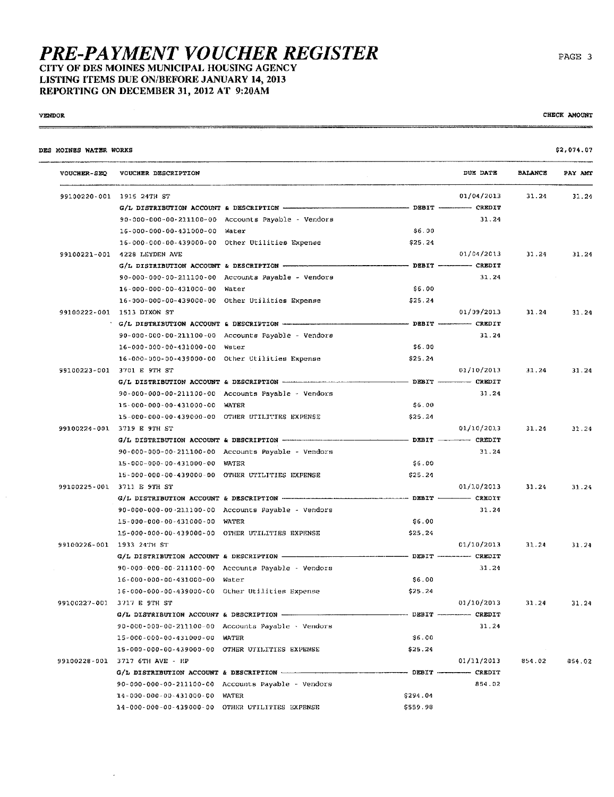CITY OF DES MOINES MUNICIPAL HOUSING AGENCY LISTING ITEMS DUE ON/BEFORE JANUARY 14, 2013 REPORTING ON DECEMBER 31, 2012 AT 9:20AM

 $\mathbb{Z}$ 

## **VENDOR**

CHECK AMOUNT

| VOUCHER-SEQ VOUCHER DESCRIPTION                                |               | DUE DATE   | <b>BALANCE</b> | PAY AMT |
|----------------------------------------------------------------|---------------|------------|----------------|---------|
| 99100220-001 1915 24TH ST                                      |               | 01/04/2013 | 31.24          | 31.24   |
|                                                                |               |            |                |         |
| $90 - 000 - 000 - 00 - 211100 - 00$ Accounts Payable - Vendors |               | 31.24      |                |         |
| 16-000-000-00-431000-00 Water                                  | \$6.00        |            |                |         |
| 16-000-000-00-439000-00 Other Utilities Expense                | \$25.24       |            |                |         |
| 99100221-001 4228 LEYDEN AVE                                   |               | 01/04/2013 | 31.24          | 31.24   |
|                                                                |               |            |                |         |
| 90-000-000-00-211100-00 Accounts Payable - Vendors             |               | 31.24      |                |         |
| 16-000-000-00-431000-00 Water                                  | \$6.00        |            |                |         |
| 16-000-000-00-439000-00 Other Utilities Expense                | \$25.24       |            |                |         |
| 99100222-001 1513 DIXON ST                                     |               | 01/09/2013 | 31.24          | 31.24   |
|                                                                |               |            |                |         |
| 90-000-000-00-211100-00 Accounts Payable - Vendors             |               | 31.24      |                |         |
| 16-000-000-00-431000-00 Water                                  | \$6.00        |            |                |         |
| 16-000-000-00-439000-00 Other Utilities Expense                | \$25.24       |            |                |         |
| 99100223-001 3701 E 9TH ST                                     |               | 01/10/2013 | 31.24          | 31.24   |
|                                                                |               |            |                |         |
| 90-000-000-00-211100-00 Accounts Payable - Vendors             |               | 31, 24     |                |         |
| 15-000-000-00-431000-00 WATER                                  | \$6.00        |            |                |         |
| 15-000-000-00-439000-00 OTHER UTILITIES EXPENSE                | \$25.21       |            |                |         |
| 99100224-001 3719 E 9TH ST                                     |               | 01/10/2013 | 31.24          | 31.24   |
|                                                                |               |            |                |         |
| 90-000-000-00-211100-00 Accounts Payable - Vendors             |               | 31.24      |                |         |
| 15-000-000-00-431000-00 WATER                                  | \$6.00        |            |                |         |
| 15-000-000-00-439000-00 OTHER UTILITIES EXPENSE                | \$25.24       |            |                |         |
| 99100225-001 3711 E 9TH ST                                     |               | 01/10/2013 | 31.24          | 31.24   |
|                                                                |               |            |                |         |
| 90-000-000-00-211100-00 Accounts Payable - Vendors             |               | 31.24      |                |         |
| 15-000-000-00-431000-00 WATER                                  | \$6.00        |            |                |         |
| 15-000-000-00-439000-00 OTHER UTILITIES EXPENSE                | \$25.24       |            |                |         |
| 99100226-001 1933 24TH ST                                      |               | 01/10/2013 | 31.24          | 31.24   |
|                                                                |               |            |                |         |
| 90-000-000-00-211100-00 Accounts Payable - Vendors             |               | 31.24      |                |         |
| 16-000-000-00-431000-00 Water                                  | \$6.00        |            |                |         |
| 16-000-000-00-439000-00 Other Utilities Expense                | \$25.24       |            |                |         |
| 99100227-001 3717 E 9TH ST                                     |               | 01/10/2013 | 31.24          | 31.24   |
|                                                                |               |            |                |         |
| 90-000-000-00-211100-00 Accounts Payable - Vendors             |               | 31,24      |                |         |
| 15-000-000-00-431000-00 WATER                                  | \$6.00        |            |                |         |
| 15-000-000-00-439000-00 OTHER UTILITIES EXPENSE                | \$25.24       |            |                |         |
| 99100228-001 3717 6TH AVE - HP                                 |               | 01/11/2013 | 854.02         | 854.02  |
| $G/L$ DISTRIBUTION ACCOUNT & DESCRIPTION                       | CREDIT CREDIT |            |                |         |
| 90-000-000-00-211100-00 Accounts Payable - Vendors             |               | 854.02     |                |         |
| 14-000-000-00-431000-00 WATER                                  | \$294.04      |            |                |         |
| 14-000-000-00-439000-00 OTHER UTILITIES EXPENSE                | \$559.98      |            |                |         |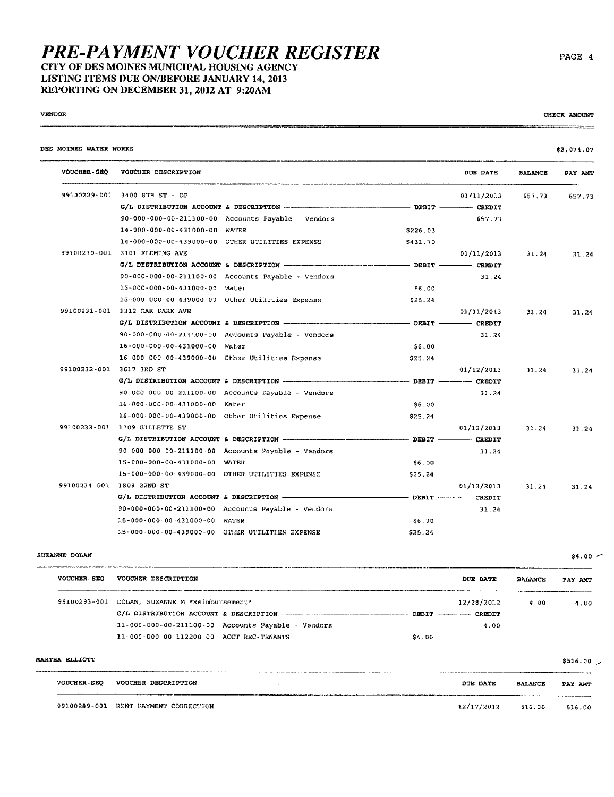## **PRE-PAYMENT VOUCHER REGISTER** CITY OF DES MOINES MUNICIPAL HOUSING AGENCY LISTING ITEMS DUE ON/BEFORE JANUARY 14, 2013 REPORTING ON DECEMBER 31, 2012 AT 9:20AM

## **VENDOR**

CHECK AMOUNT

 $$4.00 -$ 

 $\overline{\phantom{a}}$ 

| DES MOINES WATER WORKS   |                                                 |                                                                         |                      |                   |                | \$2,074.07 |
|--------------------------|-------------------------------------------------|-------------------------------------------------------------------------|----------------------|-------------------|----------------|------------|
| <b>VOUCHER-SEQ</b>       | VOUCHER DESCRIPTION                             |                                                                         |                      | DUE DATE          | <b>BALANCE</b> | PAY AMT    |
|                          | 99100229-001 3400 8TH ST - OP                   |                                                                         |                      | 01/11/2013        | 657.73         | 657.73     |
|                          |                                                 | $G/L$ DISTRIBUTION ACCOUNT & DESCRIPTION $---$ DESTRIBUTION DESCRIPTION |                      |                   |                |            |
|                          |                                                 | 90-000-000-00-211300-00 Accounts Payable - Vendors                      |                      | 657.73            |                |            |
|                          | 14-000-000-00-431000-00 WATER                   |                                                                         | \$226.03             |                   |                |            |
|                          |                                                 | 14-000-000-00-439000-00 OTHER UTILITIES EXPENSE                         | \$431.70             |                   |                |            |
|                          | 99100230-001 3101 FLEMING AVE                   |                                                                         |                      | 01/11/2013        | 31.24          | 31.24      |
|                          |                                                 |                                                                         |                      |                   |                |            |
|                          |                                                 | 90-000-000-00-211100-00 Accounts Payable - Vendors                      |                      | 31.24             |                |            |
|                          | 16-000-000-00-431000-00 Water                   |                                                                         | 56.00                |                   |                |            |
|                          |                                                 | 16-000-000-00-439000-00 Other Otilities Expense                         | \$25.24              |                   |                |            |
|                          | 99100231-001 1312 OAK PARK AVE                  |                                                                         |                      | 01/11/2013        | 31.24          | 31.24      |
|                          |                                                 |                                                                         |                      |                   |                |            |
|                          |                                                 | 90-000-000-00-211100-00 Accounts Payable - Vendors                      |                      | 31.24             |                |            |
|                          | 16-000-000-00-431000-00 Water                   |                                                                         | \$6.00               |                   |                |            |
|                          |                                                 | 16-000-000-00-439000-00 Other Utilities Expense                         | \$25.24              |                   |                |            |
| 99100232-001 3617 3RD ST |                                                 |                                                                         |                      | 01/12/2013        | 31.24          | 31.24      |
|                          |                                                 |                                                                         |                      |                   |                |            |
|                          |                                                 | 90-000-000-00-211100-00 Accounts Payable - Vendors                      |                      | 31.24             |                |            |
|                          | 16-000-000-00-431000-00 Water                   |                                                                         | \$6.00               |                   |                |            |
|                          |                                                 | 16-000-000-00-439000-00 Other Utilities Expense                         | \$25.24              |                   |                |            |
|                          | 99100233-001 1709 GILLETTE ST                   |                                                                         |                      | 0.1/13/2013       | 31.24          | 31.24      |
|                          |                                                 |                                                                         |                      |                   |                |            |
|                          |                                                 | 90-000-000-00-211100-00 Accounts Payable - Vendors                      |                      | 31.24             |                |            |
|                          | 15-000-000-00-431000-00 WATER                   |                                                                         | \$6.00               | <b>Contractor</b> |                |            |
|                          | 15-000-000-00-439000-00 OTHER UTILITIES EXPENSE |                                                                         | S <sub>25</sub> , 24 |                   |                |            |
|                          | 99100234-001 1809 22ND ST                       |                                                                         |                      | 01/13/2013        | 31.24          | 31.24      |
|                          |                                                 |                                                                         |                      |                   |                |            |
|                          |                                                 | 90-000-000-00-211100-00 Accounts Payable - Vendors                      |                      | 31.24             |                |            |
|                          | 15-000-000-00-431000-00 WATER                   |                                                                         | \$6.00               |                   |                |            |
|                          | 15-000-000-00-439000-00 OTHER OTILITIES EXPENSE |                                                                         | \$25.24              |                   |                |            |

## SUZANNE DOLAN

| <b>VOUCHER-SEO</b> | VOUCHER DESCRIPTION                                            | <b>DUE DATE</b>            | <b>BALANCE</b> | PAY AMT |
|--------------------|----------------------------------------------------------------|----------------------------|----------------|---------|
| 99100293-001       | DOLAN. SUZANNE M *Reimbursement*                               | 12/28/2012                 | 4.00           | 4.00    |
|                    |                                                                | DEBIT ------------- CREDIT |                |         |
|                    | $11 - 000 - 000 - 00 - 211100 - 00$ Accounts Payable - Vendors | 4.00                       |                |         |
|                    | 11-000-000-00-112200-00 ACCT REC-TENANTS                       | \$4.00                     |                |         |

| MARTHA ELLIOTT          |                                      |            |                | \$516.00 |
|-------------------------|--------------------------------------|------------|----------------|----------|
| <b>VOUCHER-SEO</b><br>. | VOUCHER DESCRIPTION                  | DUE DATE   | <b>BALANCE</b> | PAY AMT  |
|                         | 99100289-001 RENT PAYMENT CORRECTION | 12/17/2012 | 516.00         | 516.00   |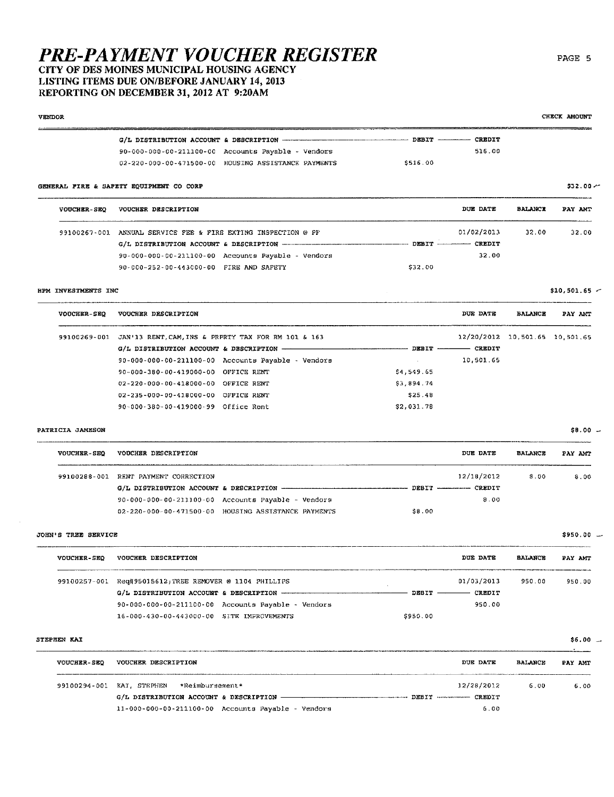## CITY OF DES MOINES MUNICIPAL HOUSING AGENCY LISTING ITEMS DUE ON/BEFORE JANUARY 14, 2013 REPORTING ON DECEMBER 31, 2012 AT 9:20AM

**VENDOR** CHECK AMOUNT G/L DISTRIBUTION ACCOUNT & DESCRIPTION --------- $-$  CREDIT DEBIT 90-000-000-00-211100-00 Accounts Payable - Vendors 516.00 02-220-000-00-471500-00 HOUSING ASSISTANCE PAYMENTS \$516.00 GENERAL FIRE & SAFETY EQUIPMENT CO CORP \$32.00 -DIE DATE **BALANCE** VOUCHER-SEO VOUCHER DESCRIPTION PAY AMT 99100267-001 ANNUAL SERVICE FER & FIRE EXTING INSPECTION @ PF 01/02/2013 32.00 32.00 G/L DISTRIBUTION ACCOUNT & DESCRIPTION --------- DEBIT - $-$  CREDIT 90-000-000-00-211100-00 Accounts Payable - Vendors 32.00 90-000-252-00-443000-00 FIRE AND SAFETY \$32.00 HPM INVESTMENTS INC  $$10,501.65$  -VOUCHER-SEQ VOUCHER DESCRIPTION DUE DATE **BALANCE** PAY AMT 99100269-001 JAN'13 RENT. CAM. INS & PRPRTY TAX FOR RM 101 & 163 12/20/2012 10,501.65 10,501.65  $G/L$  DISTRIBUTION ACCOUNT & DESCRIPTION  $-$  CREDIT  $-$  DEBIT  $-$ 10,501.65 90-000-000-00-211100-00 Accounts Payable - Vendors 90-000-380-00-419000-00 OFFICE RENT  $$4,549.65$ 02-220-000-00-418000-00 OFFICE RENT \$3,894.74 02-235-000-00-418000-00 OFFICE RENT \$25.48 90-000-380-00-419000-99 Office Rent \$2,031.78 PATRICIA JAMESON  $$8.00 -$ VOUCHER-SEO VOUCHER DESCRIPTION DUE DATE **BALANCE** PAY AMT

| 99100288-001 RENT PAYMENT CORRECTION |                                                                | 12/18/2012 | 8.00 |
|--------------------------------------|----------------------------------------------------------------|------------|------|
|                                      |                                                                |            |      |
|                                      | $90 - 000 - 000 - 00 - 211100 - 00$ Accounts Payable - Vendors | 8.00       |      |
|                                      | 02-220-000-00-471500-00 HOUSING ASSISTANCE PAYMENTS            | \$8.00     |      |

## **JOHN'S TREE SERVICE**

| <b>VOUCHER-SEQ</b> | VOUCHER DESCRIPTION                                            |          | DUE DATE   | <b>BALANCE</b> | PAY AMT |
|--------------------|----------------------------------------------------------------|----------|------------|----------------|---------|
| 99100257-001       | Req#95015612; TREE REMOVER @ 1104 PHILLIPS                     |          | 01/03/2013 | 950.00         | 950.00  |
|                    | G/L DISTRIBUTION ACCOUNT & DESCRIPTION --------                | DEBIT    | CREDIT     |                |         |
|                    | $90 - 000 - 000 - 00 - 211100 - 00$ Accounts Payable - Vendors |          | 950.00     |                |         |
|                    | 16-000-430-00-443000-00 SITE IMPROVEMENTS                      | \$950.00 |            |                |         |

#### STEPHEN KAI

| <b>VOUCHER-SEO</b> | VOUCHER DESCRIPTION                                  | <b>DUE DATE</b>           | <b>BALANCE</b> | PAY AMT |
|--------------------|------------------------------------------------------|---------------------------|----------------|---------|
| 99100294-001       | *Reimbursement*<br>KAI. STEPHEN                      | 12/28/2012                | 6.00           | 6.00    |
|                    | G/L DISTRIBUTION ACCOUNT & DESCRIPTION               | DEBIT ------------ CREDIT |                |         |
|                    | $11-000-000-00-211100-00$ Accounts Payable - Vendors | 6.00                      |                |         |

 $8.00$ 

\$950.00 --

 $$6.00 -$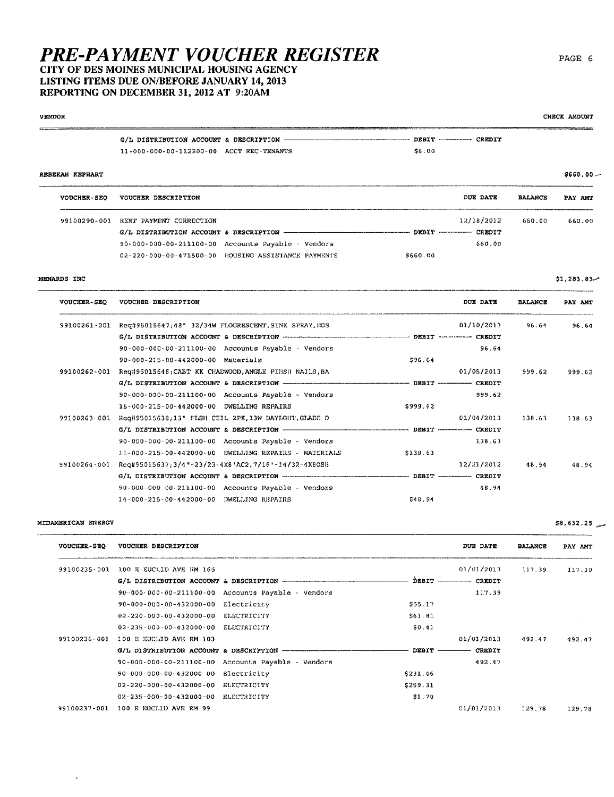CITY OF DES MOINES MUNICIPAL HOUSING AGENCY LISTING ITEMS DUE ON/BEFORE JANUARY 14, 2013 REPORTING ON DECEMBER 31, 2012 AT 9:20AM

#### **VENDOR** CHECK AMOUNT  $\sim$   $\sim$   $\sim$   $\sim$  $G/L$  DISTRIBUTION ACCOUNT & DESCRIPTION - $-$  DEBIT  $-$  CREDIT 11-000-000-00-112200-00 ACCT REC-TENANTS \$6.00

## REBEKAH KEPHART

| <b>VOUCHER-SEO</b> | VOUCHER DESCRIPTION                  |                                                           |         | DUE DATE                    | <b>BALANCE</b> | PAY AMT |
|--------------------|--------------------------------------|-----------------------------------------------------------|---------|-----------------------------|----------------|---------|
|                    | 99100290-001 RENT PAYMENT CORRECTION |                                                           |         | 12/18/2012<br><b>CREDIT</b> | 660.00         | 660.00  |
|                    |                                      | $90-000-000-00-211100-00$ Accounts Payable $\sim$ Vendors |         | 660.00                      |                |         |
|                    |                                      | 02-220-000-00-471500-00 HOUSING ASSISTANCE PAYMENTS       | 5660.00 |                             |                |         |

## MENARDS INC

| <b>VOUCHER-SEO</b> | VOUCHER DESCRIPTION                                                                                   |          | DUE DATE   | <b>BALANCE</b> | PAY AMT |
|--------------------|-------------------------------------------------------------------------------------------------------|----------|------------|----------------|---------|
| 99100261-001       | Req#95015647;48" 32/34W FLOURESCENT, SINK SPRAY, HOS                                                  |          | 01/10/2013 | 96.64          | 96.64   |
|                    |                                                                                                       |          |            |                |         |
|                    | $90-000-000-00-211100-00$ Accounts Payable - Vendors                                                  |          | 96.64      |                |         |
|                    | 90-000-215-00-442000-00 Materials                                                                     | 596.64   |            |                |         |
| 99100262-001       | Req#95015646; CABT KK CHADWOOD, ANGLE FIHSH NAILS, BA                                                 |          | 01/05/2013 | 999.62         | 999.62  |
|                    |                                                                                                       |          |            |                |         |
|                    | $90-000-000-00-211100-00$ Accounts Payable - Vendors                                                  |          | 999.62     |                |         |
|                    | 16-000-215-00-442000-00 DWELLING REPAIRS                                                              | \$999.62 |            |                |         |
| 99100263-001       | Req#95015638;13" FLSH CEIL 2PK,13W DAYLGHT, GLADE D                                                   |          | 01/04/2013 | 138.63         | 138.63  |
|                    | G/L DISTRIBUTION ACCOUNT & DESCRIPTION - - - - - - - - - - - - - - - - - - DEBIT - - - - - - - CREDIT |          |            |                |         |
|                    | $90 - 000 - 000 - 00 - 211100 - 00$ Accounts Payable - Vendors                                        |          | 138.63     |                |         |
|                    | 11-000-215-00-442000-00 DWELLING REPAIRS - MATERIALS                                                  | \$138.63 |            |                |         |
| 99100264~001       | Req#95015637;3/4"-23/23-4X8'AC2,7/16'-34/32-4X8OSB                                                    |          | 12/21/2012 | 48.94          | 48.94   |
|                    | G/L DISTRIBUTION ACCOUNT & DESCRIPTION WARRENT AND MARRIET ACCOUNT A CREDIT                           |          |            |                |         |
|                    | 90-000-000-00-211100-00 Accounts Payable - Vendors                                                    |          | 48.94      |                |         |
|                    | 14-000-215-00-442000-00 DWELLING REPAIRS                                                              | 548.94   |            |                |         |

## MIDAMERICAN ENERGY

 $\Delta$ 

| <b>VOUCHER-SEQ</b> | VOUCHER DESCRIPTION                                    |                                                                |          | <b>DUE DATE</b>          | <b>BALANCE</b> | PAY AMT |
|--------------------|--------------------------------------------------------|----------------------------------------------------------------|----------|--------------------------|----------------|---------|
| 99100235-001       | 100 E EUCLID AVE RM 165                                |                                                                |          | 01/01/2013               | 117.39         | 117.39  |
|                    | G/L DISTRIBUTION ACCOUNT & DESCRIPTION -               |                                                                |          | DEBIT ----------- CREDIT |                |         |
|                    |                                                        | $90-000-000-00-211100-00$ Accounts Payable - Vendors           |          | 117.39                   |                |         |
|                    | 90-000-000-00-432000-00                                | Electricity                                                    | \$55.17  |                          |                |         |
|                    | $02 - 220 - 000 - 00 - 432000 - 00$                    | ELECTRICITY                                                    | 561.81   |                          |                |         |
|                    | $02 - 235 - 000 - 00 - 432000 - 00$                    | ELECTRICITY                                                    | \$0.41   |                          |                |         |
| 99100236-001       | 100 E EUCLID AVE RM 103                                |                                                                |          | 01/01/2013               | 492.47         | 492.47  |
|                    | G/L DISTRIBUTION ACCOUNT & DESCRIPTION --------------- |                                                                | DEBIT    | CREDIT                   |                |         |
|                    |                                                        | $90 - 000 - 000 - 00 - 211100 - 00$ Accounts Payable - Vendors |          | 492.47                   |                |         |
|                    | 90-000-000-00-432000-00                                | Electricity                                                    | \$231.46 |                          |                |         |
|                    | $02 - 220 - 000 - 00 - 432000 - 00$                    | ELECTRICITY                                                    | \$259.31 |                          |                |         |
|                    | $02 - 235 - 000 - 00 - 432000 - 00$                    | ELECTRICITY                                                    | \$1.70   |                          |                |         |
| 99100237-001       | 100 E EUCLID AVE RM 99                                 |                                                                |          | 01/01/2013               | 129.78         | 129.78  |

PAGE 6

 $$1,283.83$ 

 $$660.00 -$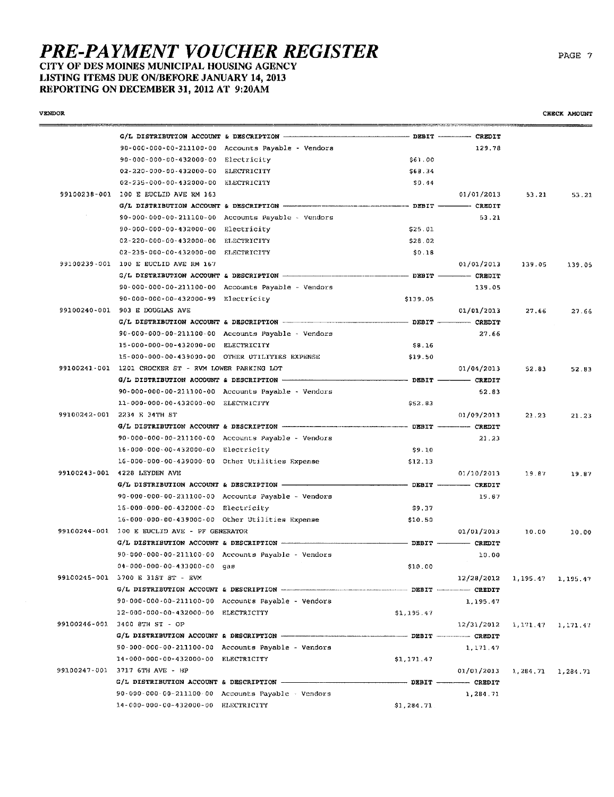# **PRE-PAYMENT VOUCHER REGISTER** LISTING ITEMS DUE ON/BEFORE JANUARY 14, 2013 REPORTING ON DECEMBER 31, 2012 AT 9:20AM

**VENDOR** 

|                                                      | 90-000-000-00-211100-00 Accounts Payable - Vendors                                    |                  | 129.78                             |        |        |
|------------------------------------------------------|---------------------------------------------------------------------------------------|------------------|------------------------------------|--------|--------|
| 90-000-000-00-432000-00 Electricity                  |                                                                                       | \$61.00          |                                    |        |        |
| 02-220-000-00-432000-00 ELECTRICITY                  |                                                                                       | \$68.34          |                                    |        |        |
| 02-235-000-00-432000-00 ELECTRICITY                  |                                                                                       | \$0.44           |                                    |        |        |
| 99100238-001 100 E EUCLID AVE RM 163                 |                                                                                       |                  | 01/01/2013                         | 53.21  | 53.21  |
|                                                      |                                                                                       |                  | ---- CREDIT                        |        |        |
|                                                      | $90 - 000 - 000 - 00 - 211100 - 00$ Accounts Payable - Vendors                        |                  | 53.21                              |        |        |
| 90-000-000-00-432000-00 Electricity                  |                                                                                       | \$25.01          |                                    |        |        |
| 02-220-000-00-432000-00 ELECTRICITY                  |                                                                                       | \$28.02          |                                    |        |        |
| 02-235-000-00-432000-00 ELECTRICITY                  |                                                                                       | \$0.18           |                                    |        |        |
| 99100239-001 100 E EUCLID AVE RM 167                 |                                                                                       |                  | 01/01/2013                         | 139.05 | 139.05 |
|                                                      |                                                                                       |                  |                                    |        |        |
|                                                      | 90-000-000-00-211100-00 Accounts Payable - Vendors                                    |                  | 139.05                             |        |        |
| 90-000-000-00-432000-99 Electricity                  |                                                                                       | \$139.05         |                                    |        |        |
| 99100240-001 903 E DOUGLAS AVE                       |                                                                                       |                  | 01/01/2013                         | 27.66  | 27.66  |
|                                                      | G/L DISTRIBUTION ACCOUNT & DESCRIPTION - - - - - - - - - - - - - - - - DEBIT - CREDIT |                  |                                    |        |        |
|                                                      | 90-000-000-00-211100-00 Accounts Payable - Vendors                                    |                  | 27.66                              |        |        |
| 15-000-000-00-432000-00 ELECTRICITY                  |                                                                                       | \$8.16           |                                    |        |        |
| 15-000-000-00-439000-00 OTHER UTILITIES EXPENSE      |                                                                                       | \$19.50          |                                    |        |        |
| 99100241-001 1201 CROCKER ST - RVM LOWER PARKING LOT |                                                                                       |                  | 01/04/2013                         | 52.83  | 52.83  |
|                                                      |                                                                                       | $\sim$ DEBIT -   | $ CREDIT$                          |        |        |
|                                                      | 90-000-000-00-211100-00 Accounts Payable - Vendors                                    |                  | 52.83                              |        |        |
| 11-000-000-00-432000-00 ELECTRICITY                  |                                                                                       | \$52.83          |                                    |        |        |
| 99100242-001 2234 E 34TH ST                          |                                                                                       |                  | 01/09/2013                         | 21.23  | 21.23  |
|                                                      |                                                                                       |                  |                                    |        |        |
|                                                      | 90-000-000-00-211100-00 Accounts Payable - Vendors                                    |                  | 21.23                              |        |        |
| 16-000-000-00-432000-00 Electricity                  |                                                                                       | \$9.10           |                                    |        |        |
| 16-000-000-00-439000-00 Other Utilities Expense      |                                                                                       | \$12.13          |                                    |        |        |
| 99100243-001 4228 LEYDEN AVE                         |                                                                                       |                  | 01/10/2013                         | 19.87  | 19.87  |
| G/L DISTRIBUTION ACCOUNT & DESCRIPTION --            |                                                                                       |                  | $-$ DEBIT $-$ CREDIT               |        |        |
|                                                      | 90-000-000-00-211100-00 Accounts Payable - Vendors                                    |                  | 19.87                              |        |        |
| 15-000-000-00-432000-00 Electricity                  |                                                                                       | \$9.37           |                                    |        |        |
| 16-000-000-00-439000-00 Other Utilities Expense      |                                                                                       | \$10.50          |                                    |        |        |
| 99100244-001 100 E EUCLID AVE - PF GENERATOR         |                                                                                       |                  | 01/01/2013                         | 10.00  | 10.00  |
|                                                      |                                                                                       |                  |                                    |        |        |
|                                                      | 90-000-000-00-211100-00 Accounts Payable - Vendors                                    |                  | 10.00                              |        |        |
| $04 - 000 - 000 - 00 - 433000 - 00$ qas              |                                                                                       | \$10.00          |                                    |        |        |
| 99100245-001 3700 E 31ST ST - EVM                    |                                                                                       |                  | $12/28/2012$ 1, 195.47 1, 195.47   |        |        |
|                                                      |                                                                                       |                  |                                    |        |        |
|                                                      | 90-000-000-00-211100-00 Accounts Payable - Vendors                                    |                  | 1.195.47                           |        |        |
| 12-000-000-00-432000-00 ELECTRICITY                  |                                                                                       | \$1,195.47       |                                    |        |        |
| 99100246-001 3400 8TH ST - OP                        |                                                                                       |                  | $12/31/2012$ $1,171.47$ $1,171.47$ |        |        |
|                                                      |                                                                                       |                  |                                    |        |        |
|                                                      | 90-000-000-00-211100-00 Accounts Payable - Vendors                                    |                  | 1,171.47                           |        |        |
| 14-000-000-00-432000-00 ELECTRICITY                  |                                                                                       | \$1,171.47       |                                    |        |        |
| 99100247-001 3717 6TH AVE - HP                       |                                                                                       |                  | $01/01/2013$ 1, 284, 71 1, 284, 71 |        |        |
|                                                      |                                                                                       | $DEBIT$ $CRBDIT$ |                                    |        |        |
|                                                      | 90-000-000-00-211100-00 Accounts Payable - Vendors                                    |                  | 1,284.71                           |        |        |
| 14-000-000-00-432000-00 ELECTRICITY                  |                                                                                       | 51,284.71        |                                    |        |        |
|                                                      |                                                                                       |                  |                                    |        |        |

CHECK AMOUNT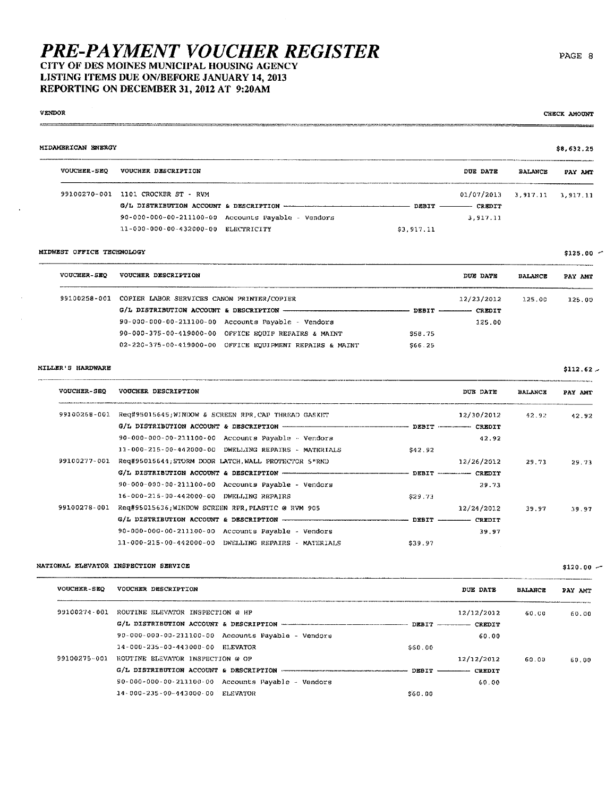## **PRE-PAYMENT VOUCHER REGISTER** CITY OF DES MOINES MUNICIPAL HOUSING AGENCY LISTING ITEMS DUE ON/BEFORE JANUARY 14, 2013 REPORTING ON DECEMBER 31, 2012 AT 9:20AM

VENDOR

 $\ddot{\phantom{a}}$ 

 $\ddot{\phantom{a}}$ 

| VENDOR             | CHECK AMOUNT                                                                                                                     |
|--------------------|----------------------------------------------------------------------------------------------------------------------------------|
| $-$                | ________<br>series are income part to share some way assumed to the first stand of the series of the con-<br>------<br>--------- |
| MIDAMERICAN ENIRGY | \$8,632,25                                                                                                                       |

| <b>VOUCHER-SEO</b> | VOUCHER DESCRIPTION                 |                                                                          |            | DUE DATE                         | <b>BALANCE</b> | PAY AMT |
|--------------------|-------------------------------------|--------------------------------------------------------------------------|------------|----------------------------------|----------------|---------|
|                    | 99100270-001 1101 CROCKER ST - RVM  |                                                                          |            | $01/07/2013$ 3, 917.11 3, 917.11 |                |         |
|                    |                                     | G/L DISTRIBUTION ACCOUNT & DESCRIPTION www.components.com/components.com |            | CREDIT                           |                |         |
|                    |                                     | $90-000-000-00-211100-00$ Accounts Payable - Vendors                     |            | 3.917.11                         |                |         |
|                    | 11-000-000-00-432000-00 ELECTRICITY |                                                                          | \$3,917.11 |                                  |                |         |

## MIDWEST OFFICE TECHNOLOGY

| <b>VOUCHER-SEO</b> | VOUCHER DESCRIPTION                                            |                          | DUE DATE      | <b>BALANCE</b> | PAY AMT |
|--------------------|----------------------------------------------------------------|--------------------------|---------------|----------------|---------|
| 99100258-001       | COPIER LABOR SERVICES CANON PRINTER/COPIER                     |                          | 12/23/2012    | 125.00         | 125.00  |
|                    | G/L DISTRIBUTION ACCOUNT & DESCRIPTION                         | DEBIT ------------------ | <b>CREDIT</b> |                |         |
|                    | $90 - 000 - 000 - 00 - 211100 - 00$ Accounts Payable - Vendors |                          | 125.00        |                |         |
|                    | 90-000-375-00-419000-00 OFFICE EQUIP REPAIRS & MAINT           | S58.75                   |               |                |         |
|                    | 02-220-375-00-419000-00 OFFICE EQUIPMENT REPAIRS & MAINT       | \$66.25                  |               |                |         |

## MILLER'S HARDWARE

| <b>VOUCHER-SEQ</b> | VOUCHER DESCRIPTION                                             |         | DUB DATE                       | <b>BALANCE</b> | PAY AMT |
|--------------------|-----------------------------------------------------------------|---------|--------------------------------|----------------|---------|
| 99100268-001       | Req#95015645;WINDOW & SCREEN RPR.CAP THREAD GASKET              |         | 12/30/2012                     | 42.92          | 42.92   |
|                    |                                                                 |         | DEBIT ------------ CREDIT      |                |         |
|                    | $90 - 000 - 000 - 00 - 23.1100 - 00$ Accounts Payable - Vendors |         | 42.92                          |                |         |
|                    | 11-000-215-00-442000-00 DWELLING REPAIRS - MATERIALS            | \$42.92 |                                |                |         |
| 99100277-001       | Req#95015644; STORM DOOR LATCH, WALL PROTECTOR 5"RND            |         | 12/26/2012                     | 29.73          | 29.73   |
|                    |                                                                 |         | DEBIT ----------------- CREDIT |                |         |
|                    | 90-000-000-00-211100-00 Accounts Payable - Vendors              |         | 29.73                          |                |         |
|                    | 16-000-215-00-442000-00 DWELLING REPAIRS                        | \$29.73 |                                |                |         |
| 99100278-001       | Req#95015636;WINDOW SCREEN RPR.PLASTIC @ RVM 905                |         | 12/24/2012                     | 39.97          | 39.97   |
|                    |                                                                 |         | DEBIT ---------- CREDIT        |                |         |
|                    | 90-000-000-00-211100-00 Accounts Payable - Vendors              |         | 39.97                          |                |         |
|                    | 11-000-215-00-442000-00 DWELLING REPAIRS - MATERIALS            | \$39.97 |                                |                |         |

## NATIONAL ELEVATOR INSPECTION SERVICE

| <b>VOUCHER-SEO</b> | VOUCHER DESCRIPTION                                |                  | DUE DATE                  | <b>BALANCE</b> | PAY AMT |
|--------------------|----------------------------------------------------|------------------|---------------------------|----------------|---------|
| 99100274-001       | ROUTINE ELEVATOR INSPECTION @ HP                   |                  | 12/12/2012                | 60.00          | 60.00   |
|                    |                                                    |                  | DEBIT ------------ CREDIT |                |         |
|                    | 90-000-000-00-211100-00 Accounts Payable - Vendors |                  | 60.00                     |                |         |
|                    | 14-000-235-00-443000-00 ELEVATOR                   | \$60.00          |                           |                |         |
| 99100275-001       | ROUTINE ELEVATOR INSPECTION @ OP                   |                  | 12/12/2012                | 60.00          | 60.00   |
|                    |                                                    | $DEBIT$ ________ | <b>CREDIT</b>             |                |         |
|                    | 90-000-000-00-211100-00 Accounts Payable - Vendors |                  | 60.00                     |                |         |
|                    | 14-000-235-00-443000-00 ELEVATOR                   | S60.00           |                           |                |         |

 $$125.00$   $\sim$ 

 $$112.62$   $-$ 

 $$120.00 -$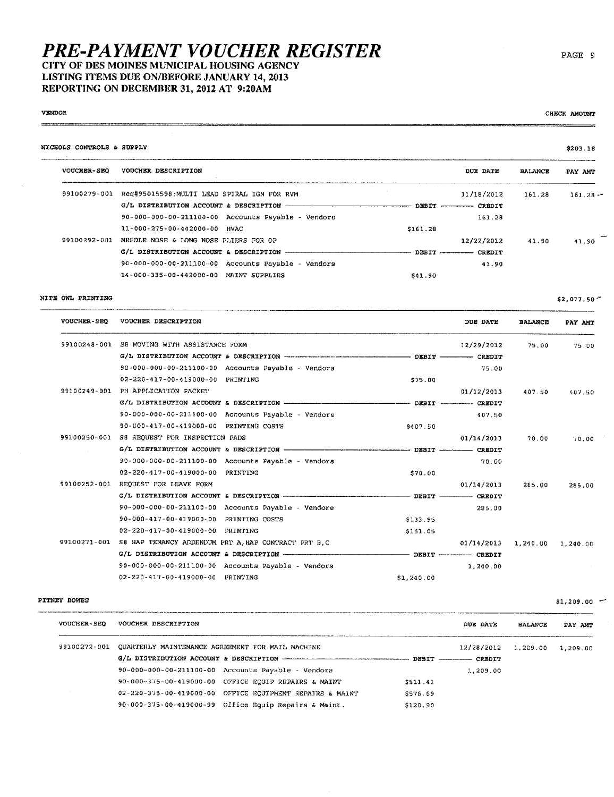## **PRE-PAYMENT VOUCHER REGISTER** CITY OF DES MOINES MUNICIPAL HOUSING AGENCY LISTING ITEMS DUE ON/BEFORE JANUARY 14, 2013

REPORTING ON DECEMBER 31, 2012 AT 9:20AM

#### **VENDOR**

| NICHOLS CONTROLS & SUPPLY |                                                                            |          |                          |                | \$203.18   |
|---------------------------|----------------------------------------------------------------------------|----------|--------------------------|----------------|------------|
| <b>VOUCHER-SEQ</b>        | VOUCHER DESCRIPTION                                                        |          | DUE DATE                 | <b>BALANCE</b> | PAY AMT    |
| 99100279-001              | Reg#95015598, MULTI LEAD SPIRAL IGN FOR RVM                                |          | 11/18/2012               | 161.28         | $161.28 -$ |
|                           | G/L DISTRIBUTION ACCOUNT & DESCRIPTION - PRODUCT AND ACCOUNT & DESCRIPTION |          | DEBIT -------- CREDIT    |                |            |
|                           | $90 - 000 - 000 - 00 - 211100 - 00$ Accounts Payable - Vendors             |          | 161.28                   |                |            |
|                           | 11-000-275-00-442000-00 HVAC                                               | \$161.28 |                          |                |            |
| 99100292-001              | NEEDLE NOSE & LONG NOSE PLIERS FOR OP                                      |          | 12/22/2012               | 41.90          | 41.90      |
|                           |                                                                            |          | DEBIT ----------- CREDIT |                |            |
|                           | 90-000-000-00-211100-00 Accounts Payable - Vendors                         |          | 41.90                    |                |            |
|                           | 14-000-335-00-442000-00 MAINT SUPPLIES                                     | \$41.90  |                          |                |            |

## NITE OWL PRINTING

DUE DATE VOUCHER-SEQ VOUCHER DESCRIPTION **BALANCE** PAY AMT 99100248-001 S8 MOVING WITH ASSISTANCE FORM 12/29/2012 75,00 75.00 G/L DISTRIBUTION ACCOUNT & DESCRIPTION ----------- DEBIT - $-$  CREDIT 90-000-000-00-211100-00 Accounts Payable - Vendors 75.00 02-220-417-00-419000-00 PRINTING \$75.00 99100249-001 PH APPLICATION PACKET 407.50  $01/12/2013$ 407.50 G/L DISTRIBUTION ACCOUNT & DESCRIPTION - $-$  DEBIT  $-$ ------ CREDIT 90-000-000-00-211100-00 Accounts Payable - Vendors 407.50 90-000-417-00-419000-00 PRINTING COSTS \$407.50 99100250-001 S8 REQUEST FOR INSPECTION PADS  $01/14/2013$  $70.00$  $70,00$ G/L DISTRIBUTION ACCOUNT & DESCRIPTION - $-$  DEBIT  $-$  CREDIT 90-000-000-00-211100-00 Accounts Payable - Vendors  $20.00$ 02-220-417-00-419000-00 PRINTING \$70.00 99100252-001 REQUEST FOR LEAVE FORM  $01/14/2013$ 285.00 285.00 G/L DISTRIBUTION ACCOUNT & DESCRIPTION - $-$  DEBIT  $-$  CREDIT 90-000-000-00-211100-00 Accounts Payable - Vendors 285.00 90-000-417-00-419000-00 PRINTING COSTS \$133.95 02-220-417-00-419000-00 PRINTING \$151.05 99100271-001 S8 HAP TENANCY ADDENDUM PRT A, HAP CONTRACT PRT B, C  $01/14/2013$  1, 240.00 1, 240.00 G/L DISTRIBUTION ACCOUNT & DESCRIPTION -- DEBIT WARNINGTHE CREDIT 90-000-000-00-211100-00 Accounts Payable - Vendors 1,240.00 02-220-417-00-419000-00 PRINTING \$1,240.00

### PITNEY BOWES

| <b>VOUCHER-SEO</b> | VOUCHER DESCRIPTION                                      |          | DUE DATE   | <b>BALANCE</b> | PAY AMT  |
|--------------------|----------------------------------------------------------|----------|------------|----------------|----------|
| 99100272-001       | QUARTERLY MAINTENANCE AGREEMENT FOR MAIL MACHINE         |          | 12/28/2012 | 1,209.00       | 1,209.00 |
|                    |                                                          |          |            |                |          |
|                    | 90-000-000-00-211100-00 Accounts Payable - Vendors       |          | 1,209.00   |                |          |
|                    | 90-000-375-00-419000-00 OFFICE EQUIP REPAIRS & MAINT     | \$511.41 |            |                |          |
|                    | 02-220-375-00-419000-00 OFFICE EOUIPMENT REPAIRS & MAINT | \$576.69 |            |                |          |
|                    | 90-000-375-00-419000-99 Office Equip Repairs & Maint.    | \$120.90 |            |                |          |

CHECE AMOUNT

\$2,077.50

 $$1,209.00$  -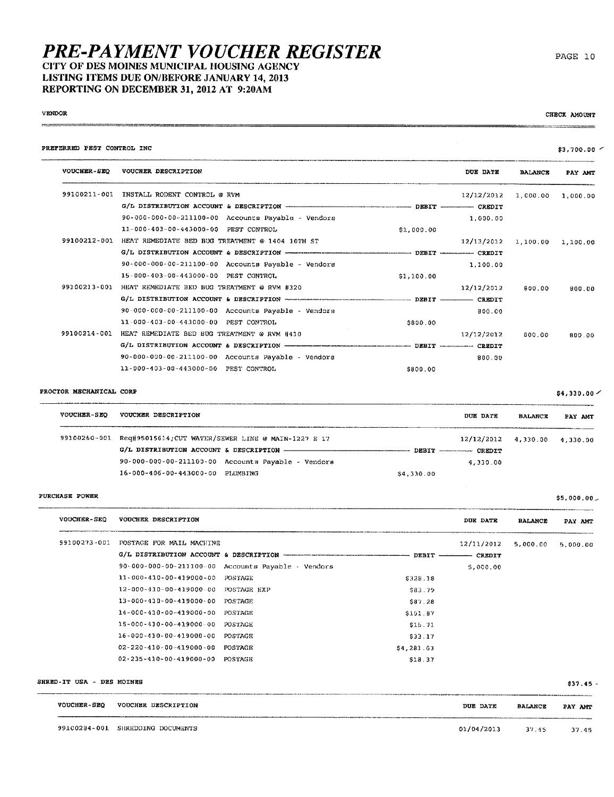## **PRE-PAYMENT VOUCHER REGISTER** CITY OF DES MOINES MUNICIPAL HOUSING AGENCY LISTING ITEMS DUE ON/BEFORE JANUARY 14, 2013 REPORTING ON DECEMBER 31, 2012 AT 9:20AM

## **VENDOR**  $rac{1}{2}$

CHECK AMOUNT *<u>TARANTEEN</u>* 

PAGE 10

| PREFERRED PEST CONTROL INC |                                                                                         |            |                     |                | $$3,700.00$ $\sim$ |
|----------------------------|-----------------------------------------------------------------------------------------|------------|---------------------|----------------|--------------------|
| <b>VOUCHER-SEO</b>         | VOUCHER DESCRIPTION                                                                     |            | DUE DATE            | <b>BALANCE</b> | PAY AMT            |
| 99100211-001               | INSTALL RODENT CONTROL @ RVM                                                            |            | 12/12/2012          | 1,000.00       | 1.000.00           |
|                            | G/L DISTRIBUTION ACCOUNT & DESCRIPTION THE RESOLUTION OF THE RESOLUTION OF STRIPS ORBIT |            |                     |                |                    |
|                            | 90-000-000-00-211100-00 Accounts Payable - Vendors                                      |            | 1,000.00            |                |                    |
|                            | 11-000-403-00-443000-00 PEST CONTROL                                                    | \$1,000.00 |                     |                |                    |
| 99100212-001               | HEAT REMEDIATE BED BUG TREATMENT @ 1404 10TH ST                                         |            | 12/13/2012 1,100.00 |                | 1,100.00           |
|                            |                                                                                         |            |                     |                |                    |
|                            | 90-000-000-00-211100-00 Accounts Payable - Vendors                                      |            | 1,100.00            |                |                    |
|                            | 15-000-403-00-443000-00 PEST CONTROL                                                    | \$1,100.00 |                     |                |                    |
| 99100213-001               | HEAT REMEDIATE BED BUG TREATMENT @ RVM #320                                             |            | 12/12/2012          | 800.00         | 800.00             |
|                            |                                                                                         |            |                     |                |                    |
|                            | $90 - 000 - 000 - 00 - 211100 - 00$ Accounts Payable - Vendors                          |            | 800.00              |                |                    |
|                            | 11-000-403-00-443000-00 PEST CONTROL                                                    | \$800.00   |                     |                |                    |
| 99100214-001               | HEAT REMEDIATE BED BOG TREATMENT @ RVM #410                                             |            | 12/12/2012          | 600.00         | 800.00             |
|                            |                                                                                         |            |                     |                |                    |
|                            | 90-000-000-00-211100-00 Accounts Payable - Vendors                                      |            | 800.00              |                |                    |
|                            | 11-000-403-00-443000-00 PEST CONTROL                                                    | \$800.00   |                     |                |                    |
|                            |                                                                                         |            |                     |                |                    |

## PROCTOR MECHANICAL CORP

| <b>VOUCHER-SEO</b> | VOUCHER DESCRIPTION                                              | DUE DATE                 | <b>BALANCE</b>                     | PAY AMT |
|--------------------|------------------------------------------------------------------|--------------------------|------------------------------------|---------|
|                    | 99100260-001 Req#95015614; CUT WATER/SEWER LINE @ MAIN-1227 E 17 |                          | $12/12/2012$ $4,330.00$ $4,330.00$ |         |
|                    |                                                                  | DEBIT ----------- CREDIT |                                    |         |
|                    | $90 - 000 - 000 - 00 - 211100 - 00$ Accounts Payable - Vendors   | 4,330.00                 |                                    |         |
|                    | 16-000-406-00-443000-00 PLUMBING                                 | \$4,330.00               |                                    |         |

#### PURCHASE POWER

| <b>VOUCHER-SEQ</b> | VOUCHER DESCRIPTION                 |                            |            | DUE DATE      | <b>BALANCE</b> | PAY AMT  |  |
|--------------------|-------------------------------------|----------------------------|------------|---------------|----------------|----------|--|
| 99100273-001       | POSTAGE FOR MAIL MACHINE            |                            |            | 12/11/2012    | 5,000.00       | 5.000.00 |  |
|                    |                                     |                            | DEBIT -    | <b>CREDIT</b> |                |          |  |
|                    | $90 - 000 - 000 - 00 - 211100 - 00$ | Accounts Payable - Vendors |            | 5.000.00      |                |          |  |
|                    | 11-000-410-00-419000-00             | POSTAGE                    | \$328.18   |               |                |          |  |
|                    | $12 - 000 - 430 - 00 - 419000 - 00$ | POSTAGE EXP                | \$83.79    |               |                |          |  |
|                    | $13 - 000 - 410 - 00 - 419000 - 00$ | <b>POSTAGE</b>             | \$87.28    |               |                |          |  |
|                    | 14-000-410-00-419000-00             | POSTAGE                    | \$151.87   |               |                |          |  |
|                    | 15-000-410-00-419000-00             | POSTAGE                    | \$15.71    |               |                |          |  |
|                    | $16 - 000 - 410 - 00 - 419000 - 00$ | POSTAGE                    | \$33.17    |               |                |          |  |
|                    | $02 - 220 - 410 - 00 - 419000 - 00$ | <b>POSTAGE</b>             | \$4,281.63 |               |                |          |  |
|                    | $02 - 235 - 410 - 00 - 419000 - 00$ | POSTAGE                    | 518.37     |               |                |          |  |

SHRED-IT USA - DES MOINES

 $$37.45 -$ 

| <b>VOUCHER-SEO</b> | VOUCHER DESCRIPTION                                                                                                                                                     | DUE DATE   | <b>BALANCE</b> | PAY AMT |
|--------------------|-------------------------------------------------------------------------------------------------------------------------------------------------------------------------|------------|----------------|---------|
|                    | ----<br><b>RESIDENT AND SERVICE SERVICE SERVICE CONTRACTS SOUTHAMPTERS CONTRACTS INTO A RESIDENT AND RELEASED FOR A STATISTICS.</b><br>99100284-001 SHREDDING DOCUMENTS | 01/04/2013 | 37.45          | 37.45   |

 $$4,330.00 \times$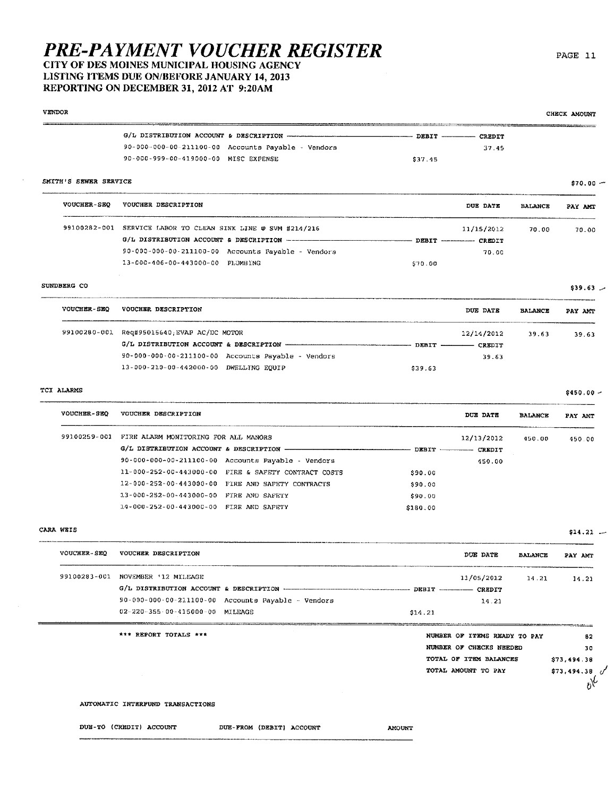## **PRE-PAYMENT VOUCHER REGISTER** CITY OF DES MOINES MUNICIPAL HOUSING AGENCY LISTING ITEMS DUE ON/BEFORE JANUARY 14, 2013

REPORTING ON DECEMBER 31, 2012 AT 9:20AM

### **VENDOR** CHECK AMOUNT  $-$  DEBIT  $-$  -  $-$  CREDIT 90-000-000-00-211100-00 Accounts Payable - Vendors 37.45 90-000-999-00-419000-00 MISC EXPENSE \$37.45 SMITH'S SEWER SERVICE  $$70.00 -$ VOUCHER-SEQ VOUCHER DESCRIPTION DUE DATE **BALANCE** PAY AMT 99100282-001 SERVICE LABOR TO CLEAN SINK LINE @ SVM #214/216  $11/15/2012$ 70.00 G/L DISTRIBUTION ACCOUNT & DESCRIPTION ---- DEBIT - - - CREDIT 90-000-000-00-211100-00 Accounts Payable - Vendors  $70.00$ 13-000-406-00-443000-00 PLUMBING \$70.00 SUNDBERG CO  $$39.63$   $\sim$

| <b>VOUCHER-SEO</b> | VOUCHER DESCRIPTION                                | DUE DATE                  | <b>BALANCE</b> | PAY AMT |
|--------------------|----------------------------------------------------|---------------------------|----------------|---------|
|                    | 99100280-001 Req#95015640, EVAP AC/DC MOTOR        | 12/14/2012                | 39.63          | 39.63   |
|                    |                                                    | $DEBIT$ _______<br>CREDIT |                |         |
|                    | 90-000-000-00-211100-00 Accounts Payable - Vendors | 39.63                     |                |         |
|                    | 13-000-210-00-442000-00 DWELLING EOUIP             | \$39.63                   |                |         |

## TCI ALARMS

| <b>VOUCHER-SEO</b> | VOUCHER DESCRIPTION                                            |               | DUE DATE                    | <b>BALANCE</b> | PAY AMT |
|--------------------|----------------------------------------------------------------|---------------|-----------------------------|----------------|---------|
| 99100259-001       | FIRE ALARM MONITORING FOR ALL MANORS                           | $DEBIT$ $---$ | 12/13/2012<br><b>CREDIT</b> | 450.00         | 450.00  |
|                    | $90 - 000 - 000 - 00 - 211100 - 00$ Accounts Payable - Vendors |               | 450.00                      |                |         |
|                    | 11-000-252-00-443000-00 FIRE & SAFETY CONTRACT COSTS           | \$90.00       |                             |                |         |
|                    | 12-000-252-00-443000-00 FIRE AND SAFETY CONTRACTS              | \$90.00       |                             |                |         |
|                    | 13-000-252-00-443000-00 FIRE AND SAFETY                        | \$90.00       |                             |                |         |
|                    | 14-000-252-00-443000-00 FIRE AND SAFETY                        | \$180.00      |                             |                |         |

## CARA WEIS

| <b>VOUCHER-SEO</b> | VOUCHER DESCRIPTION               |                                                                | DUE DATE   | <b>BALANCE</b> | PAY AMT |
|--------------------|-----------------------------------|----------------------------------------------------------------|------------|----------------|---------|
|                    | 99100283-001 NOVEMBER '12 MILEAGE |                                                                | 11/05/2012 | 14.21          | 14.21   |
|                    |                                   |                                                                |            |                |         |
|                    |                                   | $90 - 000 - 000 - 00 - 211100 - 00$ Accounts Payable - Vendors | 3.4.23     |                |         |
|                    | 02-220-355-00-415000-00 MILEAGE   |                                                                | \$14.21    |                |         |

| *** REPORT TOTALS *** |                         | NUMBER OF ITEMS READY TO PAY |                   | 62          |
|-----------------------|-------------------------|------------------------------|-------------------|-------------|
|                       | NUMBER OF CHECKS NEEDED |                              |                   | 30          |
|                       | TOTAL OF ITEM BALANCES  |                              | \$73,494.38       |             |
|                       | TOTAL AMOUNT TO PAY     |                              | $$73,494,38$ $0'$ |             |
|                       |                         |                              |                   | $6^{\circ}$ |
|                       |                         |                              |                   |             |

### AUTOMATIC INTERFUND TRANSACTIONS

DUE-TO (CREDIT) ACCOUNT

DUE-FROM (DEBIT) ACCOUNT

**AMOUNT** 

PAGE 11

 $$450.00 -$ 

70.00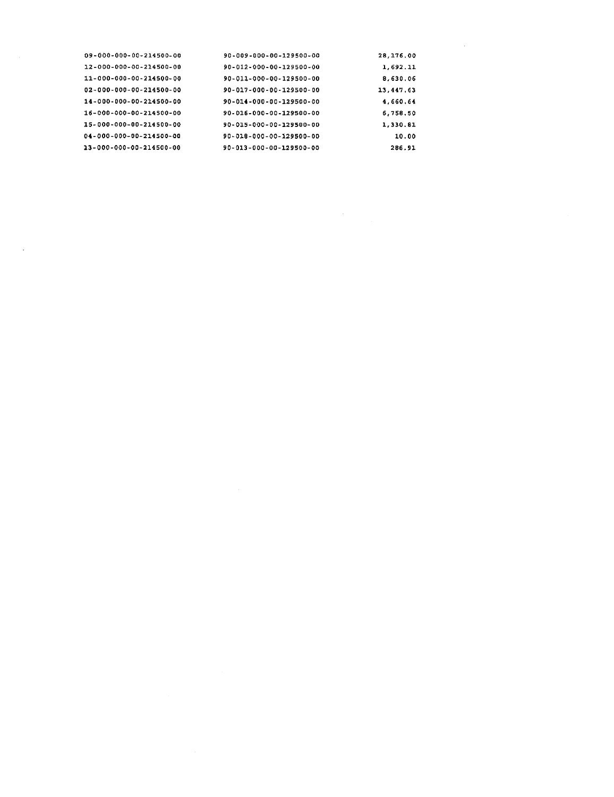| 09-000-000-00-214500-00 | 90-009-000-00-129500-00             | 28, 176, 00 |
|-------------------------|-------------------------------------|-------------|
| 12-000-000-00-214500-00 | $90 - 012 - 000 - 00 - 129500 - 00$ | 1,692.11    |
| 11-000-000-00-214500-00 | 90-011-000-00-129500-00             | 8,630.06    |
| 02-000-000-00-214500-00 | 90-017-000-00-129500-00             | 13,447.63   |
| 14-000-000-00-214500-00 | 90-014-000-00-129500-00             | 4.660.64    |
| 16-000-000-00-214500-00 | 90-016-000-00-129500-00             | 6,758,50    |
| 15-000-000-00-214500-00 | 90-015-000-00-129500-00             | 1,330.81    |
| 04-000-000-00-214500-00 | 90-018-000-00-129500-00             | 10.00       |
| 13-000-000-00-214500-00 | 90-013-000-00-129500-00             | 286.91      |

 $\mathcal{L}(\mathcal{A})$  and  $\mathcal{L}(\mathcal{A})$  .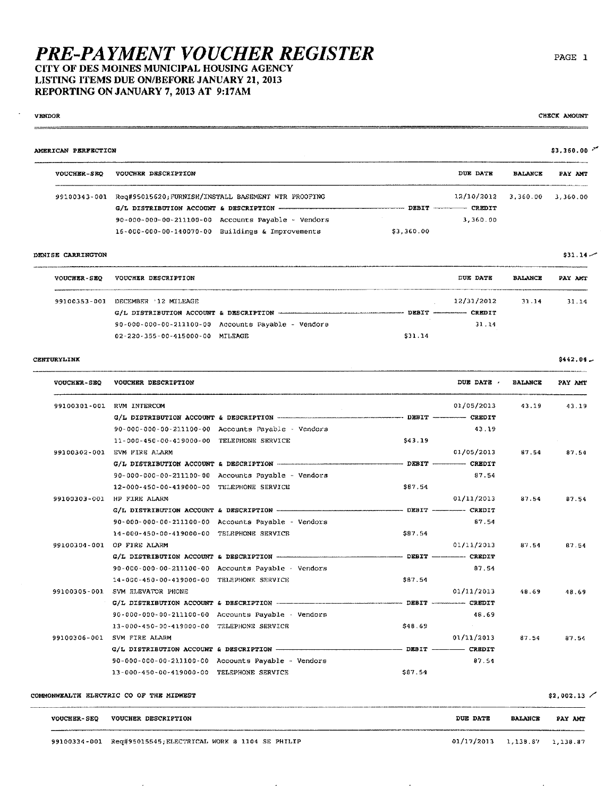CITY OF DES MOINES MUNICIPAL HOUSING AGENCY LISTING ITEMS DUE ON/BEFORE JANUARY 21, 2013

REPORTING ON JANUARY 7, 2013 AT 9:17AM

## **VENDOR**

CHECK AMOUNT

#### $$3,360.00$   $^{\circ}$ AMERICAN PERFECTION VOUCHER-SEQ VOUCHER DESCRIPTION DUE DATE **BALANCE** PAY AMT 99100343-001 Req#95015620; FURNISM/INSTALL BASEMENT WTR PROOFING 12/10/2012 3,360.00 3,360.00 G/L DISTRIBUTION ACCOUNT & DESCRIPTION -........ DEBIT - CREDIT 3,360.00 90-000-000-00-211100-00 Accounts Payable - Vendors  $16 - 000 - 000 - 00 - 140070 - 00$  Buildings & Improvements \$3,360.00

#### DENISE CARRINGTON

...

| <b>VOUCHER-SEO</b> | VOUCHER DESCRIPTION             |                                                                      |         | <b>DUE DATE</b>            | <b>BALANCE</b> | PAY AMT |
|--------------------|---------------------------------|----------------------------------------------------------------------|---------|----------------------------|----------------|---------|
| 99100353-001       | DECEMBER '12 MILEAGE            |                                                                      |         | 12/31/2012                 | 31 14          | 31.14   |
|                    |                                 | G/L DISTRIBUTION ACCOUNT & DESCRIPTION <b>ACCOUNT AND RESOLUTION</b> |         | DEBIT ------------- CREDIT |                |         |
|                    |                                 | $90 - 000 - 000 - 00 - 211100 - 00$ Accounts Payable - Vendors       |         | 31.14                      |                |         |
|                    | 02-220-355-00-415000-00 MILEAGE |                                                                      | \$31.14 |                            |                |         |

## CENTURYLINK

| <b>VOUCHER-SEQ</b> | VOUCHER DESCRIPTION                                |         | DUE DATE   | <b>BALANCE</b> | PAY AMT |
|--------------------|----------------------------------------------------|---------|------------|----------------|---------|
| 99100301-001       | RVM INTERCOM                                       |         | 01/05/2013 | 43.19          | 43.19   |
|                    |                                                    |         |            |                |         |
|                    | 90-000-000-00-211100-00 Accounts Payable - Vendors |         | 43.19      |                |         |
|                    | 11-000-450-00-419000-00 TELEPHONE SERVICE          | \$43.19 |            |                |         |
|                    | 99100302-001 EVM FIRE ALARM                        |         | 01/05/2013 | 87.54          | 87.54   |
|                    |                                                    |         |            |                |         |
|                    | 90-000-000-00-211100-00 Accounts Payable - Vendors |         | 87.54      |                |         |
|                    | 12-000-450-00-419000-00 TELEPHONE SERVICE          | \$87.54 |            |                |         |
| 99100303-001       | HP FIRE ALARM                                      |         | 01/11/2013 | 87.54          | 87.54   |
|                    |                                                    |         |            |                |         |
|                    | 90-000-000-00-211100-00 Accounts Payable - Vendors |         | 87.54      |                |         |
|                    | 14-000-450-00-419000-00 TELEPHONE SERVICE          | \$87.54 |            |                |         |
|                    | 99100304-001 OP FIRE ALARM                         |         | 01/11/2013 | 87.54          | 87.54   |
|                    |                                                    |         |            |                |         |
|                    | 90-000-000-00-211100-00 Accounts Payable - Vendors |         | 87.54      |                |         |
|                    | 14-000-450-00-419000-00 TELEPHONE SERVICE          | 587.54  |            |                |         |
|                    | 99100305-001 SVM ELEVATOR PHONE                    |         | 01/11/2013 | 48.69          | 48.69   |
|                    |                                                    |         |            |                |         |
|                    | 90-000-000-00-211100-00 Accounts Payable - Vendors |         | 48.69      |                |         |
|                    | 13-000-450-00-419000-00 TELEPHONE SERVICE          | \$48.69 | $\sim$     |                |         |
| 99100306-001       | SVM FIRE ALARM                                     |         | 01/11/2013 | 87.54          | 87.54   |
|                    |                                                    |         |            |                |         |
|                    | 90-000-000-00-211100-00 Accounts Payable - Vendors |         | 87.54      |                |         |
|                    | 13-000-450-00-419000-00 TELEPHONE SERVICE          | \$87.54 |            |                |         |
|                    |                                                    |         |            |                |         |

COMMONWEALTH ELECTRIC CO OF THE MIDWEST

 $$2,002.13$  /

| <b>VOUCHER-SEO</b> | VOUCHER DESCRIPTION                                         | <b>DUE DATE</b>                  | <b>BALANCE</b> | PAY AMT |
|--------------------|-------------------------------------------------------------|----------------------------------|----------------|---------|
|                    | 99100334-001 Req#95015545; ELECTRICAL WORK @ 1104 SE PHILIP | $01/17/2013$ 1, 138.87 1, 138.87 |                |         |

 $\ddot{\phantom{a}}$ 

 $$31.14 -$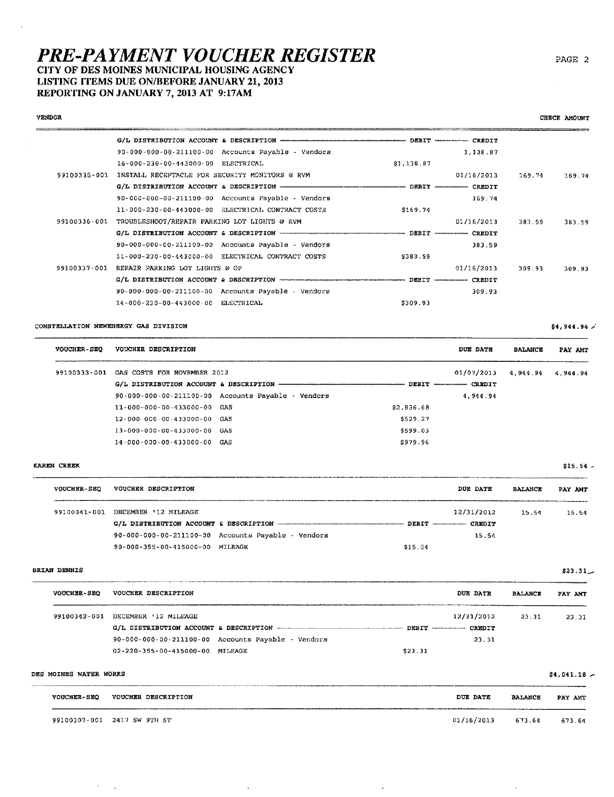## CITY OF DES MOINES MUNICIPAL HOUSING AGENCY LISTING ITEMS DUE ON/BEFORE JANUARY 21, 2013

REPORTING ON JANUARY 7, 2013 AT 9:17AM

## **VENDOR**

 $\sim$ 

|              | 90-000-000-00-211100-00 Accounts Payable - Vendors             |            | 1, 138, 87 |        |        |
|--------------|----------------------------------------------------------------|------------|------------|--------|--------|
|              | 16-000-230-00-443000-00 ELECTRICAL                             | \$1,136.87 |            |        |        |
| 99100335-001 | INSTALL RECEPTACLE FOR SECURITY MONITORS @ RVM                 |            | 01/16/2013 | 169.74 | 169.74 |
|              |                                                                |            |            |        |        |
|              | $90 - 000 - 000 - 00 - 211100 - 00$ Accounts Payable - Vendors |            | 169.74     |        |        |
|              | 11-000-230-00-443000-00 ELECTRICAL CONTRACT COSTS              | \$169.74   |            |        |        |
| 99100336-001 | TROUBLESHOOT/REPAIR PARKING LOT LIGHTS @ RVM                   |            | 01/16/2013 | 383.59 | 383.59 |
|              |                                                                |            |            |        |        |
|              | $90 - 000 - 000 - 00 - 211100 - 00$ Accounts Payable - Vendors |            | 383.59     |        |        |
|              | 11-000-230-00-443000-00 ELECTRICAL CONTRACT COSTS              | \$383.59   |            |        |        |
| 99100337-001 | REPAIR PARKING LOT LIGHTS @ OP                                 |            | 01/16/2013 | 309.93 | 309.93 |
|              |                                                                |            |            |        |        |
|              | 90-000-000-00-211100-00 Accounts Payable - Vendors             |            | 309.93     |        |        |
|              | 14-000-230-00-443000-00 ELECTRICAL                             | \$309.93   |            |        |        |
|              |                                                                |            |            |        |        |

## CONSTELLATION NEWENERGY GAS DIVISION

| <b>VOUCHER - SEQ</b> | VOUCHER DESCRIPTION                                  |                  | DUE DATE      | <b>BALANCE</b>    | PAY AMT |
|----------------------|------------------------------------------------------|------------------|---------------|-------------------|---------|
| 99100333-001         | GAS COSTS FOR NOVEMBER 2012                          |                  | 01/07/2013    | 4.944.94 4.944.94 |         |
|                      |                                                      | $DEBIT$ ———————— | <b>CREDIT</b> |                   |         |
|                      | $90-000-000-00-211100-00$ Accounts Payable - Vendors |                  | 4.944.94      |                   |         |
|                      | 11-000-000-00-433000-00 GAS                          | \$2,836.68       |               |                   |         |
|                      | $12 - 000 - 000 - 00 - 433000 - 00$ GAS              | \$529.27         |               |                   |         |
|                      | 13-000-000-00-433000-00 GAS                          | \$599.03         |               |                   |         |
|                      | 14-000-000-00-433000-00 GAS                          | \$979.96         |               |                   |         |

### **KAREN CREEK**

à.

| <b>VOUCHER-SEO</b> | VOUCHER DESCRIPTION                    |                                                                                                          | DUE DATE                     | <b>BALANCE</b> | PAY AMT |
|--------------------|----------------------------------------|----------------------------------------------------------------------------------------------------------|------------------------------|----------------|---------|
| 99100341-001       | DECEMBER '12 MILEAGE                   |                                                                                                          | 12/31/2012                   | 15.54          | 25.54   |
|                    | G/L DISTRIBUTION ACCOUNT & DESCRIPTION | A 400 YO F REPORTED HER CARD AND RESIDENCE OF THE CONTRACTOR OF CARD AND RELEASED FOR AN INTERFERING WAS | DEBIT --------------- CREDIT |                |         |
|                    |                                        | 90-000-000-00-211100-00 Accounts Payable - Vendors                                                       | 15.54                        |                |         |
|                    | 90-000-355-00-415000-00 MILEAGE        |                                                                                                          | \$15.54                      |                |         |

### **BRIAN DENNIS**

| <b>VOUCHER-SEQ</b> | VOUCHER DESCRIPTION                                            | DUE DATE                  | <b>BALANCE</b> | PAY AMT |
|--------------------|----------------------------------------------------------------|---------------------------|----------------|---------|
| 99100342-001       | DECEMBER 12 MILEAGE                                            | 12/31/2012                | 23.31          | 23.31   |
|                    | G/L DISTRIBUTION ACCOUNT & DESCRIPTION - THE RESOLUTION        | DEBIT ------------ CREDIT |                |         |
|                    | $90 - 000 - 000 - 00 - 211100 - 00$ Accounts Payable - Vendors | 23.31                     |                |         |
|                    | 02-220-355-00-415000-00<br>MILEAGE                             | \$23.31                   |                |         |

### DES MOINES WATER WORKS

 $\mathcal{A}$  $\bar{z}$ 

|                    |                             |            |                | ______  |
|--------------------|-----------------------------|------------|----------------|---------|
| <b>VOUCHER-SEQ</b> | VOUCHER DESCRIPTION         | DUE DATE   | <b>BALANCE</b> | PAY AMT |
|                    | 99100307-001 2417 SW 9TH ST | 01/16/2013 | 673.64         | 673.61  |

 $\cdot$ 

 $\bar{z}$ 

PAGE 2

CHECK AMOUNT

 $$4, 944.94$ 

 $$15.54 -$ 

 $$23.31$ 

 $$4,041.18 -$ 

 $\cdot$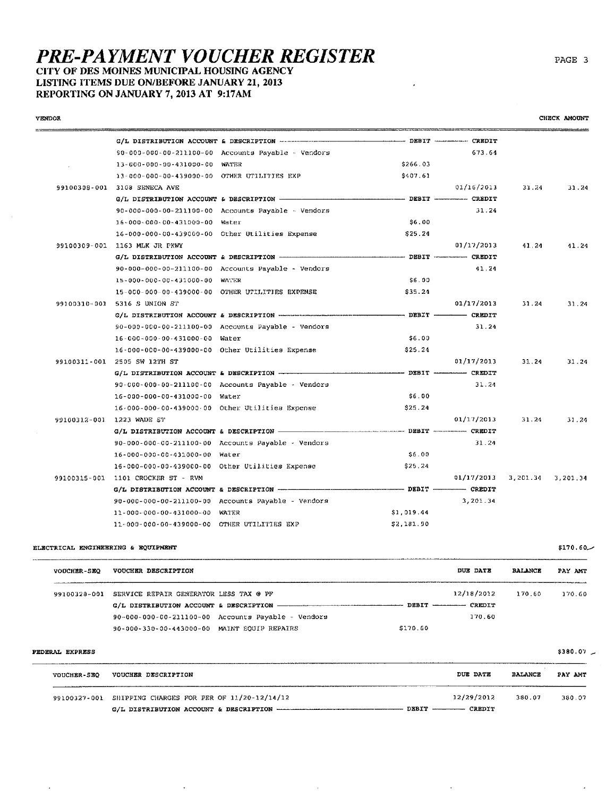## CITY OF DES MOINES MUNICIPAL HOUSING AGENCY LISTING ITEMS DUE ON/BEFORE JANUARY 21, 2013

REPORTING ON JANUARY 7, 2013 AT 9:17AM

| <b>VENDOR</b> |                                                 |                                                                     |          |                             |       | CHECK AMOUNT |
|---------------|-------------------------------------------------|---------------------------------------------------------------------|----------|-----------------------------|-------|--------------|
|               |                                                 |                                                                     |          | DEBIT -------------- CREDIT |       |              |
|               |                                                 | 90-000-000-00-211100-00 Accounts Payable - Vendors                  |          | 673.64                      |       |              |
|               | 13-000-000-00-431000-00 WATER                   |                                                                     | \$266.03 |                             |       |              |
|               | 13-000-000-00-439000-00 OTHER UTILITIES EXP     |                                                                     | \$407.61 |                             |       |              |
| 99100308-001  | 3108 SENECA AVE                                 |                                                                     |          | 01/16/2013                  | 31.24 | 31.24        |
|               |                                                 |                                                                     |          | DEBIT ------------ CREDIT   |       |              |
|               |                                                 | $90 - 000 - 000 - 00 - 211100 - 00$ Accounts Payable $\sim$ Vendors |          | 31.24                       |       |              |
|               | 16-000-000-00-431000-00 Water                   |                                                                     | \$6.00   |                             |       |              |
|               | 16-000-000-00-439000-00 Other Utilities Expense |                                                                     | \$25.24  |                             |       |              |
| 99100309-001  | 1163 MLK JR PKWY                                |                                                                     |          | 01/17/2013                  | 41.24 | 41.24        |
|               |                                                 |                                                                     |          | CREDIT                      |       |              |
|               |                                                 | $90 - 000 - 000 - 00 - 211100 - 00$ Accounts Payable - Vendors      |          | 41.21                       |       |              |

|              | 15-000-000-00-431000-00 WATER                   |                                                    | \$6.00     |            |            |          |
|--------------|-------------------------------------------------|----------------------------------------------------|------------|------------|------------|----------|
|              |                                                 | 15-000-000-00-439000-00 OTHER UTILITIES EXPENSE    | \$35.24    |            |            |          |
| 99100310-001 | 5316 S UNION ST                                 |                                                    |            | 01/17/2013 | 31.24      | 31.24    |
|              |                                                 |                                                    |            |            |            |          |
|              |                                                 | 90-000-000-00-211100-00 Accounts Payable - Vendors |            | 31.24      |            |          |
|              | 16-000-000-00-431000-00 Water                   |                                                    | \$6.00     |            |            |          |
|              |                                                 | 16-000-000-00-439000-00 Other Utilities Expense    | \$25.24    |            |            |          |
| 99100311-001 | 2505 SW 12TH ST                                 |                                                    |            | 01/17/2013 | 31.24      | 31.24    |
|              |                                                 |                                                    |            |            |            |          |
|              |                                                 | 90-000-000-00-211100-00 Accounts Payable - Vendors |            | 31.24      |            |          |
|              | 16-000-000-00-431000-00 Water                   |                                                    | \$6.00     |            |            |          |
|              | 16-000-000-00-439000-00 Other Utilities Expense |                                                    | \$25.24    |            |            |          |
| 99100312-001 | 1223 WADE ST                                    |                                                    |            | 01/17/2013 | 31.24      | 31.24    |
|              |                                                 |                                                    |            |            |            |          |
|              |                                                 | 90-000-000-00-211100-00 Accounts Payable - Vendors |            | 31.24      |            |          |
|              | 16-000-000-00-431000-00 Water                   |                                                    | \$6.00     |            |            |          |
|              | 16-000-000-00-439000-00 Other Utilities Expense |                                                    | \$25,24    |            |            |          |
| 99100315-001 | 1101 CROCKER ST - RVM                           |                                                    |            | 01/17/2013 | 3, 201, 34 | 3,201.34 |
|              |                                                 |                                                    |            |            |            |          |
|              |                                                 | 90-000-000-00-211100-00 Accounts Payable - Vendors |            | 3,201.34   |            |          |
|              | 11-000-000-00-431000-00 WATER                   |                                                    | \$1,019.44 |            |            |          |
|              | 11-000-000-00-439000-00 OTHER UTILITIES EXP     |                                                    | \$2,181.90 |            |            |          |

### ELECTRICAL ENGINEERING & EQUIPMENT

 $\ddot{\phantom{a}}$ 

| <b>VOUCHER-SEQ</b> | VOUCHER DESCRIPTION                                  | DUE DATE                      | <b>BALANCE</b> | PAY AMT |
|--------------------|------------------------------------------------------|-------------------------------|----------------|---------|
|                    | 99100328-001 SERVICE REPAIR GENERATOR LESS TAX @ PF  | 12/18/2012                    | 170.60         | 170.60  |
|                    |                                                      | DEBIT ---------------- CREDIT |                |         |
|                    | $90-000-000-00-211100-00$ Accounts Payable - Vendors | 170.60                        |                |         |
|                    | 90-000-330-00-443000-00 MAINT EOUIP REPAIRS          | \$170.60                      |                |         |

## FEDERAL EXPRESS

 $\sim$ 

 $\ddot{\phantom{a}}$ 

| <b>VOUCHER-SEQ</b> | VOUCHER DESCRIPTION                                              | .<br>DUE DATE               | <b>BALANCE</b> | PAY AMT |
|--------------------|------------------------------------------------------------------|-----------------------------|----------------|---------|
|                    | 99100327-001 SHIPPING CHARGES FOR PER OF 11/20-12/14/12<br>DEBIT | 32/29/2012<br><b>CREDIT</b> | 380.07         | 380.07  |

 $\sim$ 

 $$380.07$   $-$ 

 $\epsilon$ 

 $\hat{\mathcal{A}}$ 

 $$170.60-$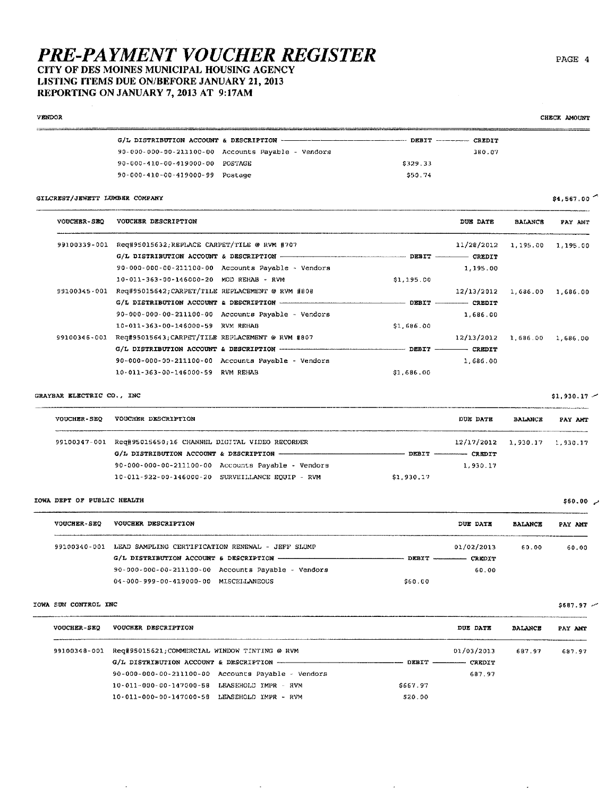## CITY OF DES MOINES MUNICIPAL HOUSING AGENCY LISTING ITEMS DUE ON/BEFORE JANUARY 21, 2013 REPORTING ON JANUARY 7, 2013 AT 9:17AM

| VENDOR                         |                                                           |                                                                                                 |            |            |                | CHECK AMOUNT      |
|--------------------------------|-----------------------------------------------------------|-------------------------------------------------------------------------------------------------|------------|------------|----------------|-------------------|
|                                |                                                           |                                                                                                 |            |            |                |                   |
|                                |                                                           | 90-000-000-00-211100-00 Accounts Payable - Vendors                                              |            | 380.07     |                |                   |
|                                | 90-000-410-00-419000-00 POSTAGE                           |                                                                                                 | \$329,33   |            |                |                   |
|                                | 90-000-410-00-419000-99 Postage                           |                                                                                                 | \$50,74    |            |                |                   |
| GILCREST/JEWETT LUMBER COMPANY |                                                           |                                                                                                 |            |            |                | \$4,567.00        |
| <b>VOUCHER-SEQ</b>             | VOUCHER DESCRIPTION                                       |                                                                                                 |            | DUE DATE   | <b>BALANCE</b> | PAY AMT           |
|                                | 99100339-001 Req#95015632, REPLACE CARPET/TILE @ RVM #707 |                                                                                                 |            | 11/28/2012 |                | 1,195.00 1,195.00 |
|                                |                                                           | G/L DISTRIBUTION ACCOUNT & DESCRIPTION - - - - - - - - - - - - - - - - DEBIT - - - - - - CREDIT |            |            |                |                   |
|                                |                                                           | $90 - 000 - 000 - 211100 - 00$ Accounts Payable - Vendors                                       |            | 1,195.00   |                |                   |
|                                | 10-011-363-00-146000-20 MOD REHAB - RVM                   |                                                                                                 | \$1.195.00 |            |                |                   |
| 99100345~001                   | Req#95015642;CARPET/TILE REPLACEMENT @ RVM #808           |                                                                                                 |            | 12/13/2012 |                | 1,686.00 1,686.00 |
|                                |                                                           |                                                                                                 |            |            |                |                   |
|                                |                                                           | 90-000-000-00-211100-00 Accounts Payable - Vendors                                              |            | 1,686.00   |                |                   |
|                                | 10-011-363-00-146000-59 RVM REHAB                         |                                                                                                 | \$1,686.00 |            |                |                   |
| 99100346-001                   | Req#95015643;CARPET/TILE REPLACEMENT @ RVM #807           |                                                                                                 |            | 12/13/2012 | 1,686.00       | 1,686.00          |
|                                |                                                           |                                                                                                 |            |            |                |                   |
|                                |                                                           | $90-000-000-00-211100-00$ Accounts Payable - Vendors                                            |            | 1,686.00   |                |                   |
|                                | 10-011-363-00-146000-59 RVM REHAB                         |                                                                                                 | \$1,686,00 |            |                |                   |

## GRAYBAR ELECTRIC CO., INC

VOUCHER-SEQ VOUCHER DESCRIPTION DUE DATE BALANCE PAY AMT 99100347-001 Req#95015650;16 CHANNEL DIGITAL VIDEO RECORDER  $12/17/2012$  1,930.17 1,930.17 G/L DISTRIBUTION ACCOUNT & DESCRIPTION --------------- $DEBIT$   $CRBDIT$ 90-000-000-00-211100-00 Accounts Payable - Vendors 1,930.17 10-011-922-00-146000-20 SURVEILLANCE EQUIP - RVM \$1,930.17

## IOWA DEPT OF PUBLIC HEALTH

| <b>VOUCHER-SEO</b> | VOUCHER DESCRIPTION                                |         | DUE DATE                   | <b>BALANCE</b> | PAY AMT |
|--------------------|----------------------------------------------------|---------|----------------------------|----------------|---------|
| 99100340-001       | LEAD SAMPLING CERTIFICATION RENEWAL - JEFF SLUMP   |         | 01/02/2013                 | 60.00          | 60.00   |
|                    |                                                    |         | DEBIT ------------- CREDIT |                |         |
|                    | 90-000-000-00-211100-00 Accounts Payable - Vendors |         | 60.00                      |                |         |
|                    | 04-000-999-00-419000-00 MISCELLANEOUS              | \$60.00 |                            |                |         |

## IOWA SUN CONTROL INC

 $\overline{a}$ 

| <b>VOUCHER-SEO</b> | VOUCHER DESCRIPTION                                                                                    |                      |                     | DUE DATE   | <b>BALANCE</b> | PAY AMT |
|--------------------|--------------------------------------------------------------------------------------------------------|----------------------|---------------------|------------|----------------|---------|
| 99100348-001       | Reg#95015621;COMMERCIAL WINDOW TINTING @ RVM<br>$G/L$ DISTRIBUTION ACCOUNT & DESCRIPTION $\frac{1}{1}$ |                      | DEBIT ------ CREDIT | 01/03/2013 | 687.97         | 687.97  |
|                    | 90-000-000-00-211100-00 Accounts Payable - Vendors                                                     |                      |                     | 687.97     |                |         |
|                    | $10 - 011 - 000 - 00 - 147000 - 58$                                                                    | LEASEHOLD TMPR - RVM | \$667.97            |            |                |         |
|                    | 10-011-000-00-147000-58 LEASEHOLD IMPR - RVM                                                           |                      | \$20.00             |            |                |         |

 $\overline{\phantom{a}}$ 

 $\ddot{\phantom{a}}$ 

PAGE 4

 $$1,930.17$  -

 $$60.00$   $\sim$ 

 $$687.97$  ~

 $\ddot{\phantom{a}}$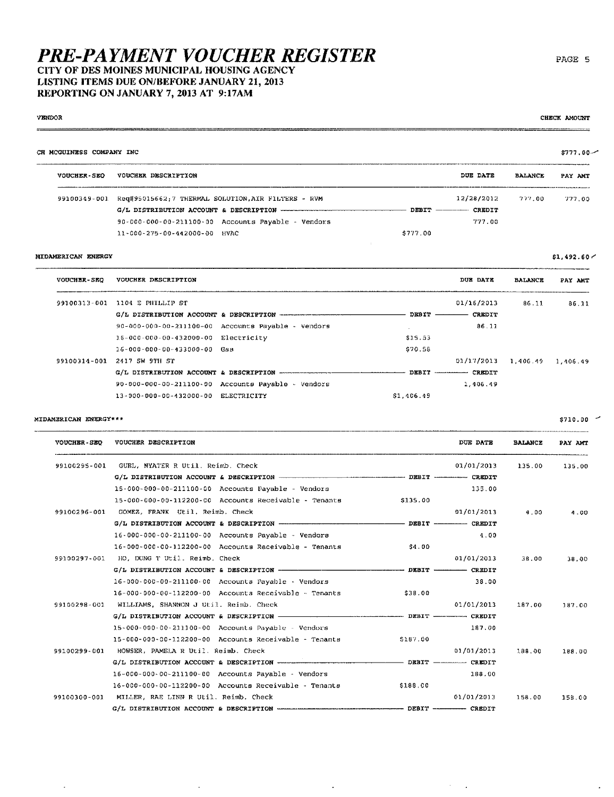CITY OF DES MOINES MUNICIPAL HOUSING AGENCY LISTING ITEMS DUE ON/BEFORE JANUARY 21, 2013 REPORTING ON JANUARY 7, 2013 AT 9:17AM

## **VENDOR**

#### CH MCGUINESS COMPANY INC  $$777.00 -$ .... **VOUCHER-SEQ** VOUCHER DESCRIPTION DUE DATE **BALANCE** PAY ANT .<br>Martxoaren 18a - Alemaniako A 99100349-001 Req#95015662;7 THERMAL SOLUTION, AIR FILTERS - RVM 12/28/2012  $277.00$ 777.00 G/L DISTRIBUTION ACCOUNT & DESCRIPTION - $-$  DEBIT  $-$ -- CREDIT 90-000-000-00-211100-00 Accounts Payable - Vendors 777.00 11-000-275-00-442000-00 HVAC \$777.00

## MIDAMERICAN ENERGY

| <b>VOUCHER-SEO</b> | VOUCHER DESCRIPTION                     |                                                                |            | <b>DUE DATE</b>            | <b>BALANCE</b> | PAY AMT  |
|--------------------|-----------------------------------------|----------------------------------------------------------------|------------|----------------------------|----------------|----------|
| 99100313-001       | 1104 E PHILLIP ST                       |                                                                |            | 01/16/2013                 | 86.11          | 86.11    |
|                    |                                         |                                                                | DEBIT -    | CREDIT                     |                |          |
|                    |                                         | $90 - 000 - 000 - 00 - 211100 - 00$ Accounts Payable - Vendors |            | 86.11                      |                |          |
|                    | 16-000-000-00-432000-00 Electricity     |                                                                | \$15.53    |                            |                |          |
|                    | $16 - 000 - 000 - 00 - 433000 - 00$ Gas |                                                                | \$70.58    |                            |                |          |
| 99100314-001       | 2417 SW 9TH ST                          |                                                                |            | 01/17/2013                 | 1,406.49       | 1,406.49 |
|                    |                                         | G/L DISTRIBUTION ACCOUNT & DESCRIPTION -------------------     |            | DEBIT ------------- CREDIT |                |          |
|                    |                                         | $90 - 000 - 000 - 00 - 211100 - 00$ Accounts Payable - Vendors |            | 1,406.49                   |                |          |
|                    | 13-000-000-00-432000-00 ELECTRICITY     |                                                                | \$1.406.49 |                            |                |          |

## MIDAMERICAN ENERGY\*\*\*

 $\ddot{\phantom{a}}$ 

 $\ddot{\phantom{a}}$ 

| <b>VOUCHER-SEQ</b> | VOUCHER DESCRIPTION                                               |          | DUE DATE   | <b>BALANCE</b> | PAY AMT |
|--------------------|-------------------------------------------------------------------|----------|------------|----------------|---------|
| 99100295-001       | GUBL, NYATER R Util. Reimb. Check                                 |          | 01/01/2013 | 135.00         | 135.00  |
|                    |                                                                   |          |            |                |         |
|                    | 15-000-000-00-211100-00 Accounts Payable - Vendors                |          | 135.00     |                |         |
|                    | 15-000-000-00-112200-00 Accounts Receivable - Tenants             | \$135.00 |            |                |         |
| 99100296-001       | GOMEZ, FRANK Util, Reimb, Check                                   |          | 01/01/2013 | 4.00           | 4.00    |
|                    |                                                                   |          |            |                |         |
|                    | 16-000-000-00-211100-00 Accounts Payable - Vendors                |          | 4.00       |                |         |
|                    | 16-000-000-00-112200-00 Accounts Receivable - Tenants             | \$4.00   |            |                |         |
| 99100297-001       | HO, DUNG T Util. Reimb. Check                                     |          | 01/01/2013 | 38.00          | 38.00   |
|                    |                                                                   |          |            |                |         |
|                    | $16 - 000 - 000 - 00 - 211100 - 00$ Accounts Payable - Vendors    |          | 38.00      |                |         |
|                    | $16 - 000 - 000 - 00 - 112200 - 00$ Accounts Receivable - Tenants | \$38.00  |            |                |         |
| 99100298-001       | WILLIAMS, SHANNON J Util, Reimb. Check                            |          | 01/01/2013 | 187.00         | 187.00  |
|                    |                                                                   |          |            |                |         |
|                    | 15-000-000-00-211100-00 Accounts Payable - Vendors                |          | 187.00     |                |         |
|                    | 15-000-000-00-112200-00 Accounts Receivable - Tenants             | \$187.00 |            |                |         |
| 99100299-001       | HOWSER, PAMELA R Util. Reimb. Check                               |          | 01/01/2013 | 188.00         | 188.00  |
|                    |                                                                   |          |            |                |         |
|                    | 16-000-000-00-211100-00 Accounts Payable - Vendors                |          | 188.00     |                |         |
|                    | 16-000-000-00-112200-00 Accounts Receivable - Tenants             | \$188.00 |            |                |         |
| 99100300-001       | MILLER, RAE LINN R Util. Reimb, Check                             |          | 01/01/2013 | 158.00         | 158.00  |
|                    |                                                                   |          |            |                |         |

 $\ddot{\phantom{0}}$ 

 $\mathcal{L}^{(1)}$  $\sim$  PAGE 5

CHECK AMOUNT

 $$1,492.60 \sim$ 

 $$710.00$   $-$ 

 $\cdot$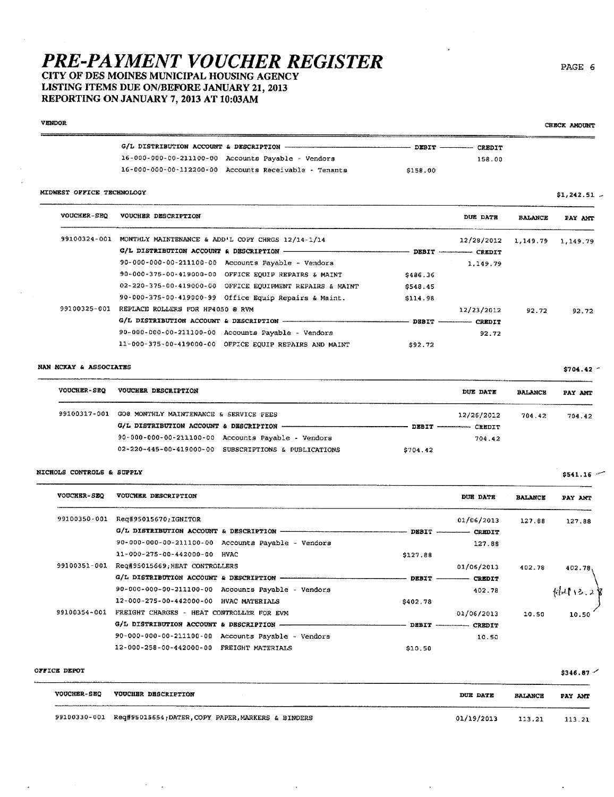## CITY OF DES MOINES MUNICIPAL HOUSING AGENCY LISTING ITEMS DUE ON/BEFORE JANUARY 21, 2013 REPORTING ON JANUARY 7, 2013 AT 10:03AM

## VENOR

|                                                                   | DEBIT ---------- CREDIT |        |
|-------------------------------------------------------------------|-------------------------|--------|
| 16-000-000-00-211100-00 Accounts Payable - Vendors                |                         | 158.00 |
| $16 - 000 - 000 - 00 - 112200 - 00$ Accounts Receivable - Tenants | \$158.00                |        |

## MIDWEST OFFICE TECHNOLOGV

| MIDWEST OFFICE TECHNOLOGY |                                                                                         |                 |                           |                | $$1,242.51$ .         |
|---------------------------|-----------------------------------------------------------------------------------------|-----------------|---------------------------|----------------|-----------------------|
| <b>VOUCHER-SEO</b>        | VOUCHER DESCRIPTION                                                                     |                 | DUE DATE                  | <b>BALANCE</b> | PAY ANT               |
|                           | 99100324-001 MONTHLY MAINTENANCE & ADD'L COPY CHRGS 12/14-1/14                          |                 | 12/28/2012                |                | 1, 149, 79 1, 149, 79 |
|                           | G/L DISTRIBUTION ACCOUNT & DESCRIPTION - THE CONTRACT OF A SECOND ACCOUNT & DESCRIPTION |                 | DEBIT ------------ CREDIT |                |                       |
|                           | 90-000-000-00-211100-00 Accounts Payable - Vendors                                      |                 | 1.149.79                  |                |                       |
|                           | 90-000-375-00-419000-00 OFFICE EQUIP REPAIRS & MAINT                                    | \$486.36        |                           |                |                       |
|                           | 02-220-375-00-419000-00 OFFICE EQUIPMENT REPAIRS & MAINT                                | \$548.45        |                           |                |                       |
|                           | 90-000-375-00-419000-99 Office Equip Repairs & Maint.                                   | \$114.98        |                           |                |                       |
| 99100325-001              | REPLACE ROLLERS FOR HP4050 @ RVM                                                        |                 | 12/23/2012                | 92.72          | 92.72                 |
|                           |                                                                                         | $DBBIT$ ——————— | <b>CREDIT</b>             |                |                       |
|                           | 90-000-000-00-211100-00 Accounts Payable - Vendors                                      |                 | 92.72                     |                |                       |
|                           | 11-000-375-00-419000-00 OFFICE EQUIP REPAIRS AND MAINT                                  | \$92.72         |                           |                |                       |
|                           |                                                                                         |                 |                           |                |                       |

### NAN MCKAY & ASSOCIATES

| <b>VOUCHER-SEO</b> | VOUCHER DESCRIPTION                                  | DUE DATE                   | <b>BALANCE</b> | PAY AMT |
|--------------------|------------------------------------------------------|----------------------------|----------------|---------|
| 99100317-001       | GO8 MONTHLY MAINTENANCE & SERVICE FEES               | 12/26/2012                 | 704.42         | 704.42  |
|                    |                                                      | DEBIT ------------- CREDIT |                |         |
|                    | 90-000-000-00-211100-00 Accounts Payable - Vendors   | 704.42                     |                |         |
|                    | 02-220-445-00-419000-00 SUBSCRIPTIONS & PUBLICATIONS | \$704.42                   |                |         |

## NICHOLS CONTROLS & SUPPLY

| <b>VOUCHER-SEQ</b> | VOUCHER DESCRIPTION                                |                   | DUE DATE      | <b>BALANCE</b> | PAY AMT |
|--------------------|----------------------------------------------------|-------------------|---------------|----------------|---------|
| 99100350-001       | Reg#95015670;IGNITOR                               |                   | 01/06/2013    | 127.88         | 127.88  |
|                    | G/L DISTRIBUTION ACCOUNT & DESCRIPTION -           | $DBBIT$ --------- | <b>CREDIT</b> |                |         |
|                    | 90-000-000-00-211100-00 Accounts Payable - Vendors |                   | 127.88        |                |         |
|                    | 11-000-275-00-442000-00 HVAC                       | \$127.88          |               |                |         |
| 99100351-001       | Req#95015669; HEAT CONTROLLERS                     |                   | 01/06/2013    | 402.78         | 402.78. |
|                    | G/L DISTRIBUTION ACCOUNT & DESCRIPTION -           | <b>DEBIT</b>      | <b>CREDIT</b> |                |         |
|                    | 90-000-000-00-211100-00 Accounts Payable - Vendors |                   | 402.78        |                | 44413.2 |
|                    | 12-000-275-00-442000-00 HVAC MATERIALS             | \$402.78          |               |                |         |
| 99100354-001       | FREIGHT CHARGES - HEAT CONTROLLER FOR EVM          |                   | 01/06/2013    | 10.50          | 10.50   |
|                    | G/L DISTRIBUTION ACCOUNT & DESCRIPTION -           |                   | DEBIT CREDIT  |                |         |
|                    | 90-000-000-00-211100-00 Accounts Payable - Vendors |                   | 10.50         |                |         |
|                    | 12-000-258-00-442000-00 FREIGHT MATERIALS          | \$10.50           |               |                |         |

| <b>OFFICE DEPOT</b> |  |
|---------------------|--|
|---------------------|--|

J,

 $\bar{z}$  $\mathbb{Z}^2$   $$346.87$ 

| <b>VOUCHER-SEC</b> | <b>VOUCHER DESCRIPTION</b>                      | <b>DUE DATE</b> | <b>BALANCE</b> | PAY AMT |
|--------------------|-------------------------------------------------|-----------------|----------------|---------|
| 99100330-001       | Req#95015654;DATER,COPY PAPER,MARKERS & BINDERS | 01/19/2013      | 113.21         | 113.21  |

l,

J,

## PAGE 6

CHECK AMOUNT

 $$704.42$   $-$ 

 $$541.16$   $-$